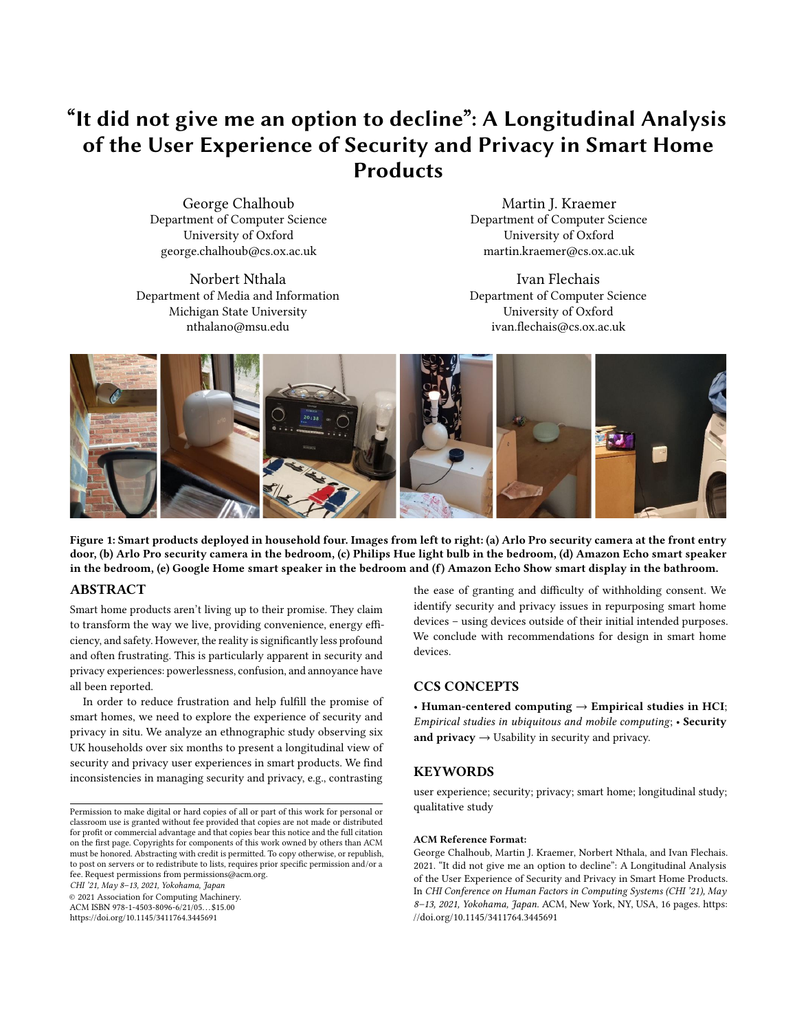# "It did not give me an option to decline": A Longitudinal Analysis of the User Experience of Security and Privacy in Smart Home **Products**

George Chalhoub Department of Computer Science University of Oxford [george.chalhoub@cs.ox.ac.uk](mailto:george.chalhoub@cs.ox.ac.uk)

Norbert Nthala Department of Media and Information Michigan State University [nthalano@msu.edu](mailto:nthalano@msu.edu)

Martin J. Kraemer Department of Computer Science University of Oxford [martin.kraemer@cs.ox.ac.uk](mailto:martin.kraemer@cs.ox.ac.uk)

Ivan Flechais Department of Computer Science University of Oxford [ivan.fechais@cs.ox.ac.uk](mailto:ivan.flechais@cs.ox.ac.uk)

<span id="page-0-0"></span>

Figure 1: Smart products deployed in household four. Images from left to right: (a) Arlo Pro security camera at the front entry door, (b) Arlo Pro security camera in the bedroom, (c) Philips Hue light bulb in the bedroom, (d) Amazon Echo smart speaker in the bedroom, (e) Google Home smart speaker in the bedroom and (f) Amazon Echo Show smart display in the bathroom.

## ABSTRACT

Smart home products aren't living up to their promise. They claim to transform the way we live, providing convenience, energy efficiency, and safety. However, the reality issignifcantly less profound and often frustrating. This is particularly apparent in security and privacy experiences: powerlessness, confusion, and annoyance have all been reported.

In order to reduce frustration and help fulfll the promise of smart homes, we need to explore the experience of security and privacy in situ. We analyze an ethnographic study observing six UK households over six months to present a longitudinal view of security and privacy user experiences in smart products. We fnd inconsistencies in managing security and privacy, e.g., contrasting

CHI '21, May 8–13, 2021, Yokohama, Japan

© 2021 Association for Computing Machinery.

ACM ISBN 978-1-4503-8096-6/21/05. . . \$15.00 <https://doi.org/10.1145/3411764.3445691>

the ease of granting and difficulty of withholding consent. We identify security and privacy issues in repurposing smart home devices – using devices outside of their initial intended purposes. We conclude with recommendations for design in smart home devices.

# CCS CONCEPTS

• Human-centered computing → Empirical studies in HCI; Empirical studies in ubiquitous and mobile computing; • Security and  $\text{privacy} \rightarrow$  Usability in security and privacy.

## **KEYWORDS**

user experience; security; privacy; smart home; longitudinal study; qualitative study

#### ACM Reference Format:

George Chalhoub, Martin J. Kraemer, Norbert Nthala, and Ivan Flechais. 2021. "It did not give me an option to decline": A Longitudinal Analysis of the User Experience of Security and Privacy in Smart Home Products. In CHI Conference on Human Factors in Computing Systems (CHI '21), May 8-13, 2021, Yokohama, Japan. ACM, New York, NY, USA, [16](#page-15-0) pages. [https:](https://doi.org/10.1145/3411764.3445691) [//doi.org/10.1145/3411764.3445691](https://doi.org/10.1145/3411764.3445691)

Permission to make digital or hard copies of all or part of this work for personal or classroom use is granted without fee provided that copies are not made or distributed for proft or commercial advantage and that copies bear this notice and the full citation on the frst page. Copyrights for components of this work owned by others than ACM must be honored. Abstracting with credit is permitted. To copy otherwise, or republish, to post on servers or to redistribute to lists, requires prior specifc permission and/or a fee. Request permissions from [permissions@acm.org](mailto:permissions@acm.org).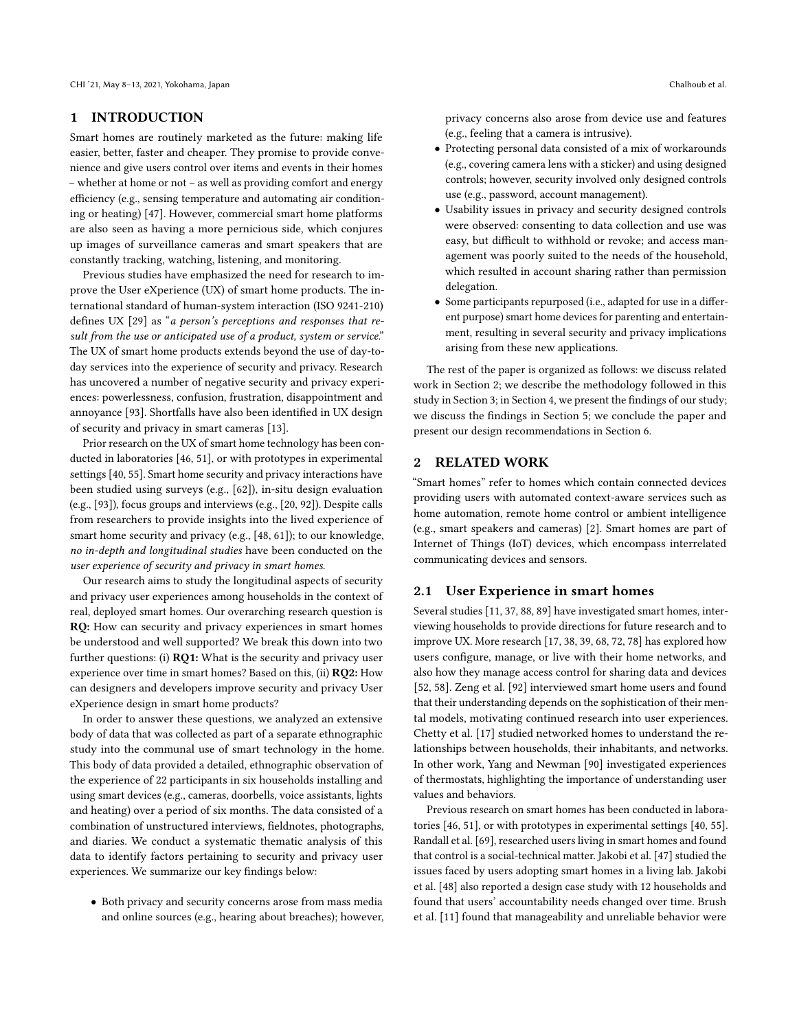#### 1 INTRODUCTION

Smart homes are routinely marketed as the future: making life easier, better, faster and cheaper. They promise to provide convenience and give users control over items and events in their homes – whether at home or not – as well as providing comfort and energy efficiency (e.g., sensing temperature and automating air conditioning or heating) [\[47\]](#page-13-0). However, commercial smart home platforms are also seen as having a more pernicious side, which conjures up images of surveillance cameras and smart speakers that are constantly tracking, watching, listening, and monitoring.

Previous studies have emphasized the need for research to improve the User eXperience (UX) of smart home products. The international standard of human-system interaction (ISO 9241-210) defnes UX [\[29\]](#page-12-0) as "a person's perceptions and responses that result from the use or anticipated use of a product, system or service." The UX of smart home products extends beyond the use of day-today services into the experience of security and privacy. Research has uncovered a number of negative security and privacy experiences: powerlessness, confusion, frustration, disappointment and annoyance [\[93\]](#page-14-0). Shortfalls have also been identifed in UX design of security and privacy in smart cameras [\[13\]](#page-12-1).

Prior research on the UX of smart home technology has been conducted in laboratories [\[46,](#page-13-1) [51\]](#page-13-2), or with prototypes in experimental settings [\[40,](#page-12-2) [55\]](#page-13-3). Smart home security and privacy interactions have been studied using surveys (e.g., [\[62\]](#page-13-4)), in-situ design evaluation (e.g., [\[93\]](#page-14-0)), focus groups and interviews (e.g., [\[20,](#page-12-3) [92\]](#page-14-1)). Despite calls from researchers to provide insights into the lived experience of smart home security and privacy (e.g., [\[48,](#page-13-5) [61\]](#page-13-6)); to our knowledge, no in-depth and longitudinal studies have been conducted on the user experience of security and privacy in smart homes.

Our research aims to study the longitudinal aspects of security and privacy user experiences among households in the context of real, deployed smart homes. Our overarching research question is RQ: How can security and privacy experiences in smart homes be understood and well supported? We break this down into two further questions: (i) RQ1: What is the security and privacy user experience over time in smart homes? Based on this, (ii) RQ2: How can designers and developers improve security and privacy User eXperience design in smart home products?

In order to answer these questions, we analyzed an extensive body of data that was collected as part of a separate ethnographic study into the communal use of smart technology in the home. This body of data provided a detailed, ethnographic observation of the experience of 22 participants in six households installing and using smart devices (e.g., cameras, doorbells, voice assistants, lights and heating) over a period of six months. The data consisted of a combination of unstructured interviews, feldnotes, photographs, and diaries. We conduct a systematic thematic analysis of this data to identify factors pertaining to security and privacy user experiences. We summarize our key fndings below:

• Both privacy and security concerns arose from mass media and online sources (e.g., hearing about breaches); however,

privacy concerns also arose from device use and features (e.g., feeling that a camera is intrusive).

- Protecting personal data consisted of a mix of workarounds (e.g., covering camera lens with a sticker) and using designed controls; however, security involved only designed controls use (e.g., password, account management).
- Usability issues in privacy and security designed controls were observed: consenting to data collection and use was easy, but difficult to withhold or revoke; and access management was poorly suited to the needs of the household, which resulted in account sharing rather than permission delegation.
- Some participants repurposed (i.e., adapted for use in a diferent purpose) smart home devices for parenting and entertainment, resulting in several security and privacy implications arising from these new applications.

The rest of the paper is organized as follows: we discuss related work in Section [2;](#page-1-0) we describe the methodology followed in this study in Section [3;](#page-2-0) in Section [4,](#page-5-0) we present the fndings of our study; we discuss the fndings in Section [5;](#page-9-0) we conclude the paper and present our design recommendations in Section [6.](#page-11-0)

## <span id="page-1-0"></span>2 RELATED WORK

"Smart homes" refer to homes which contain connected devices providing users with automated context-aware services such as home automation, remote home control or ambient intelligence (e.g., smart speakers and cameras) [\[2\]](#page-11-1). Smart homes are part of Internet of Things (IoT) devices, which encompass interrelated communicating devices and sensors.

#### 2.1 User Experience in smart homes

Several studies [\[11,](#page-12-4) [37,](#page-12-5) [88,](#page-14-2) [89\]](#page-14-3) have investigated smart homes, interviewing households to provide directions for future research and to improve UX. More research [\[17,](#page-12-6) [38,](#page-12-7) [39,](#page-12-8) [68,](#page-13-7) [72,](#page-13-8) [78\]](#page-13-9) has explored how users confgure, manage, or live with their home networks, and also how they manage access control for sharing data and devices [\[52,](#page-13-10) [58\]](#page-13-11). Zeng et al. [\[92\]](#page-14-1) interviewed smart home users and found that their understanding depends on the sophistication of their mental models, motivating continued research into user experiences. Chetty et al. [\[17\]](#page-12-6) studied networked homes to understand the relationships between households, their inhabitants, and networks. In other work, Yang and Newman [\[90\]](#page-14-4) investigated experiences of thermostats, highlighting the importance of understanding user values and behaviors.

Previous research on smart homes has been conducted in laboratories [\[46,](#page-13-1) [51\]](#page-13-2), or with prototypes in experimental settings [\[40,](#page-12-2) [55\]](#page-13-3). Randall et al. [\[69\]](#page-13-12), researched users living in smart homes and found that control is a social-technical matter. Jakobi et al. [\[47\]](#page-13-0) studied the issues faced by users adopting smart homes in a living lab. Jakobi et al. [\[48\]](#page-13-5) also reported a design case study with 12 households and found that users' accountability needs changed over time. Brush et al. [\[11\]](#page-12-4) found that manageability and unreliable behavior were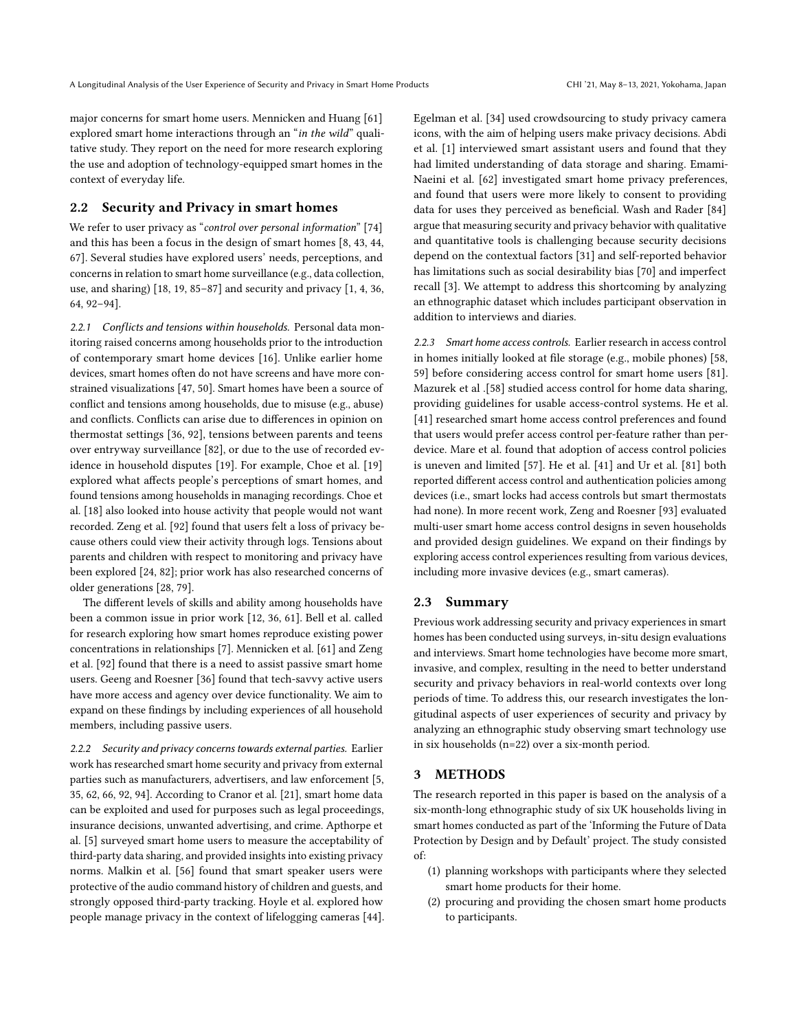major concerns for smart home users. Mennicken and Huang [\[61\]](#page-13-6) explored smart home interactions through an "in the wild" qualitative study. They report on the need for more research exploring the use and adoption of technology-equipped smart homes in the context of everyday life.

## 2.2 Security and Privacy in smart homes

We refer to user privacy as "control over personal information" [\[74\]](#page-13-13) and this has been a focus in the design of smart homes [\[8,](#page-12-9) [43,](#page-12-10) [44,](#page-12-11) [67\]](#page-13-14). Several studies have explored users' needs, perceptions, and concerns in relation to smart home surveillance (e.g., data collection, use, and sharing)  $[18, 19, 85-87]$  $[18, 19, 85-87]$  $[18, 19, 85-87]$  $[18, 19, 85-87]$  $[18, 19, 85-87]$  $[18, 19, 85-87]$  and security and privacy  $[1, 4, 36, 16]$  $[1, 4, 36, 16]$  $[1, 4, 36, 16]$  $[1, 4, 36, 16]$  $[1, 4, 36, 16]$  $[1, 4, 36, 16]$ [64,](#page-13-16) [92–](#page-14-1)[94\]](#page-14-6).

2.2.1 Conflicts and tensions within households. Personal data monitoring raised concerns among households prior to the introduction of contemporary smart home devices [\[16\]](#page-12-16). Unlike earlier home devices, smart homes often do not have screens and have more constrained visualizations [\[47,](#page-13-0) [50\]](#page-13-17). Smart homes have been a source of confict and tensions among households, due to misuse (e.g., abuse) and conficts. Conficts can arise due to diferences in opinion on thermostat settings [\[36,](#page-12-15) [92\]](#page-14-1), tensions between parents and teens over entryway surveillance [\[82\]](#page-13-18), or due to the use of recorded evidence in household disputes [\[19\]](#page-12-13). For example, Choe et al. [\[19\]](#page-12-13) explored what afects people's perceptions of smart homes, and found tensions among households in managing recordings. Choe et al. [\[18\]](#page-12-12) also looked into house activity that people would not want recorded. Zeng et al. [\[92\]](#page-14-1) found that users felt a loss of privacy because others could view their activity through logs. Tensions about parents and children with respect to monitoring and privacy have been explored [\[24,](#page-12-17) [82\]](#page-13-18); prior work has also researched concerns of older generations [\[28,](#page-12-18) [79\]](#page-13-19).

The diferent levels of skills and ability among households have been a common issue in prior work [\[12,](#page-12-19) [36,](#page-12-15) [61\]](#page-13-6). Bell et al. called for research exploring how smart homes reproduce existing power concentrations in relationships [\[7\]](#page-12-20). Mennicken et al. [\[61\]](#page-13-6) and Zeng et al. [\[92\]](#page-14-1) found that there is a need to assist passive smart home users. Geeng and Roesner [\[36\]](#page-12-15) found that tech-savvy active users have more access and agency over device functionality. We aim to expand on these fndings by including experiences of all household members, including passive users.

2.2.2 Security and privacy concerns towards external parties. Earlier work has researched smart home security and privacy from external parties such as manufacturers, advertisers, and law enforcement [\[5,](#page-12-21) [35,](#page-12-22) [62,](#page-13-4) [66,](#page-13-20) [92,](#page-14-1) [94\]](#page-14-6). According to Cranor et al. [\[21\]](#page-12-23), smart home data can be exploited and used for purposes such as legal proceedings, insurance decisions, unwanted advertising, and crime. Apthorpe et al. [\[5\]](#page-12-21) surveyed smart home users to measure the acceptability of third-party data sharing, and provided insights into existing privacy norms. Malkin et al. [\[56\]](#page-13-21) found that smart speaker users were protective of the audio command history of children and guests, and strongly opposed third-party tracking. Hoyle et al. explored how people manage privacy in the context of lifelogging cameras [\[44\]](#page-12-11). Egelman et al. [\[34\]](#page-12-24) used crowdsourcing to study privacy camera icons, with the aim of helping users make privacy decisions. Abdi et al. [\[1\]](#page-11-2) interviewed smart assistant users and found that they had limited understanding of data storage and sharing. Emami-Naeini et al. [\[62\]](#page-13-4) investigated smart home privacy preferences, and found that users were more likely to consent to providing data for uses they perceived as beneficial. Wash and Rader [\[84\]](#page-13-22) argue that measuring security and privacy behavior with qualitative and quantitative tools is challenging because security decisions depend on the contextual factors [\[31\]](#page-12-25) and self-reported behavior has limitations such as social desirability bias [\[70\]](#page-13-23) and imperfect recall [\[3\]](#page-11-3). We attempt to address this shortcoming by analyzing an ethnographic dataset which includes participant observation in addition to interviews and diaries.

2.2.3 Smart home access controls. Earlier research in access control in homes initially looked at fle storage (e.g., mobile phones) [\[58,](#page-13-11) [59\]](#page-13-24) before considering access control for smart home users [\[81\]](#page-13-25). Mazurek et al .[\[58\]](#page-13-11) studied access control for home data sharing, providing guidelines for usable access-control systems. He et al. [\[41\]](#page-12-26) researched smart home access control preferences and found that users would prefer access control per-feature rather than perdevice. Mare et al. found that adoption of access control policies is uneven and limited [\[57\]](#page-13-26). He et al. [\[41\]](#page-12-26) and Ur et al. [\[81\]](#page-13-25) both reported diferent access control and authentication policies among devices (i.e., smart locks had access controls but smart thermostats had none). In more recent work, Zeng and Roesner [\[93\]](#page-14-0) evaluated multi-user smart home access control designs in seven households and provided design guidelines. We expand on their fndings by exploring access control experiences resulting from various devices, including more invasive devices (e.g., smart cameras).

#### 2.3 Summary

Previous work addressing security and privacy experiences in smart homes has been conducted using surveys, in-situ design evaluations and interviews. Smart home technologies have become more smart, invasive, and complex, resulting in the need to better understand security and privacy behaviors in real-world contexts over long periods of time. To address this, our research investigates the longitudinal aspects of user experiences of security and privacy by analyzing an ethnographic study observing smart technology use in six households (n=22) over a six-month period.

## <span id="page-2-0"></span>3 METHODS

The research reported in this paper is based on the analysis of a six-month-long ethnographic study of six UK households living in smart homes conducted as part of the 'Informing the Future of Data Protection by Design and by Default' project. The study consisted of:

- (1) planning workshops with participants where they selected smart home products for their home.
- (2) procuring and providing the chosen smart home products to participants.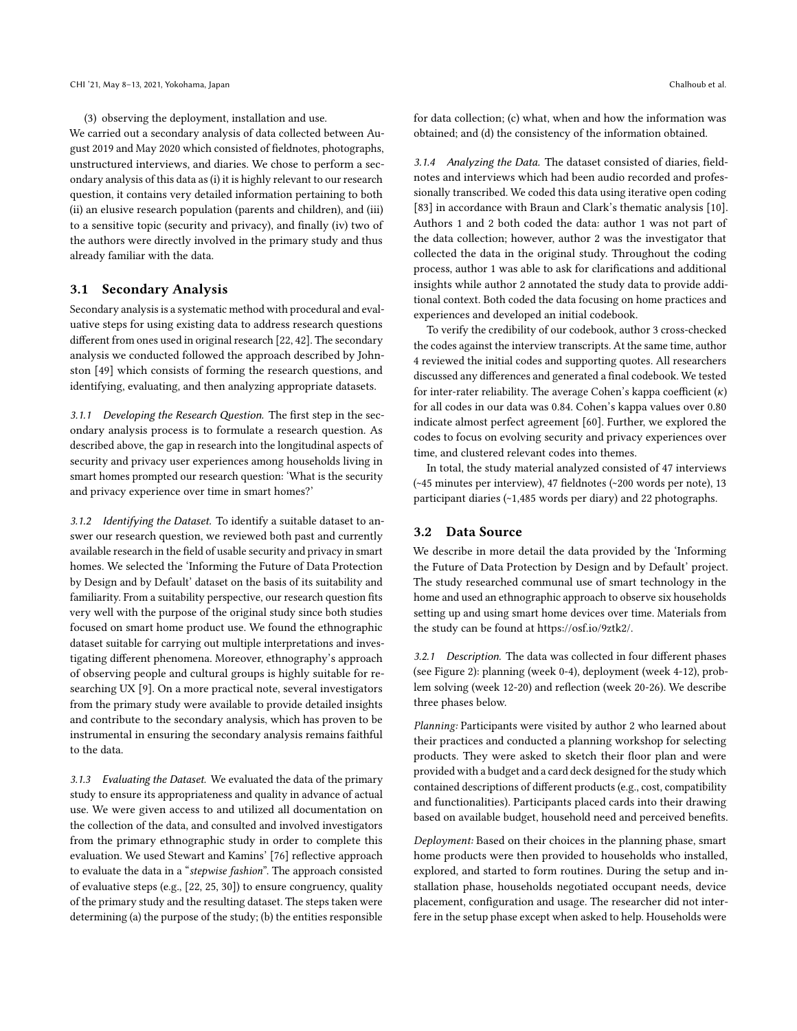(3) observing the deployment, installation and use.

We carried out a secondary analysis of data collected between August 2019 and May 2020 which consisted of feldnotes, photographs, unstructured interviews, and diaries. We chose to perform a secondary analysis of this data as(i) it is highly relevant to our research question, it contains very detailed information pertaining to both (ii) an elusive research population (parents and children), and (iii) to a sensitive topic (security and privacy), and fnally (iv) two of the authors were directly involved in the primary study and thus already familiar with the data.

#### 3.1 Secondary Analysis

Secondary analysis is a systematic method with procedural and evaluative steps for using existing data to address research questions diferent from ones used in original research [\[22,](#page-12-27) [42\]](#page-12-28). The secondary analysis we conducted followed the approach described by Johnston [\[49\]](#page-13-27) which consists of forming the research questions, and identifying, evaluating, and then analyzing appropriate datasets.

3.1.1 Developing the Research Question. The first step in the secondary analysis process is to formulate a research question. As described above, the gap in research into the longitudinal aspects of security and privacy user experiences among households living in smart homes prompted our research question: 'What is the security and privacy experience over time in smart homes?'

3.1.2 Identifying the Dataset. To identify a suitable dataset to answer our research question, we reviewed both past and currently available research in the feld of usable security and privacy in smart homes. We selected the 'Informing the Future of Data Protection by Design and by Default' dataset on the basis of its suitability and familiarity. From a suitability perspective, our research question fts very well with the purpose of the original study since both studies focused on smart home product use. We found the ethnographic dataset suitable for carrying out multiple interpretations and investigating diferent phenomena. Moreover, ethnography's approach of observing people and cultural groups is highly suitable for researching UX [\[9\]](#page-12-29). On a more practical note, several investigators from the primary study were available to provide detailed insights and contribute to the secondary analysis, which has proven to be instrumental in ensuring the secondary analysis remains faithful to the data.

3.1.3 Evaluating the Dataset. We evaluated the data of the primary study to ensure its appropriateness and quality in advance of actual use. We were given access to and utilized all documentation on the collection of the data, and consulted and involved investigators from the primary ethnographic study in order to complete this evaluation. We used Stewart and Kamins' [\[76\]](#page-13-28) refective approach to evaluate the data in a "stepwise fashion". The approach consisted of evaluative steps (e.g., [\[22,](#page-12-27) [25,](#page-12-30) [30\]](#page-12-31)) to ensure congruency, quality of the primary study and the resulting dataset. The steps taken were determining (a) the purpose of the study; (b) the entities responsible for data collection; (c) what, when and how the information was obtained; and (d) the consistency of the information obtained.

3.1.4 Analyzing the Data. The dataset consisted of diaries, feldnotes and interviews which had been audio recorded and professionally transcribed. We coded this data using iterative open coding [\[83\]](#page-13-29) in accordance with Braun and Clark's thematic analysis [\[10\]](#page-12-32). Authors 1 and 2 both coded the data: author 1 was not part of the data collection; however, author 2 was the investigator that collected the data in the original study. Throughout the coding process, author 1 was able to ask for clarifcations and additional insights while author 2 annotated the study data to provide additional context. Both coded the data focusing on home practices and experiences and developed an initial codebook.

To verify the credibility of our codebook, author 3 cross-checked the codes against the interview transcripts. At the same time, author 4 reviewed the initial codes and supporting quotes. All researchers discussed any diferences and generated a fnal codebook. We tested for inter-rater reliability. The average Cohen's kappa coefficient  $(\kappa)$ for all codes in our data was 0.84. Cohen's kappa values over 0.80 indicate almost perfect agreement [\[60\]](#page-13-30). Further, we explored the codes to focus on evolving security and privacy experiences over time, and clustered relevant codes into themes.

In total, the study material analyzed consisted of 47 interviews (~45 minutes per interview), 47 feldnotes (~200 words per note), 13 participant diaries (~1,485 words per diary) and 22 photographs.

#### 3.2 Data Source

We describe in more detail the data provided by the 'Informing the Future of Data Protection by Design and by Default' project. The study researched communal use of smart technology in the home and used an ethnographic approach to observe six households setting up and using smart home devices over time. Materials from the study can be found at [https://osf.io/9ztk2/.](https://osf.io/9ztk2/)

3.2.1 Description. The data was collected in four diferent phases (see Figure [2\)](#page-4-0): planning (week 0-4), deployment (week 4-12), problem solving (week 12-20) and refection (week 20-26). We describe three phases below.

Planning: Participants were visited by author 2 who learned about their practices and conducted a planning workshop for selecting products. They were asked to sketch their floor plan and were provided with a budget and a card deck designed for the study which contained descriptions of diferent products (e.g., cost, compatibility and functionalities). Participants placed cards into their drawing based on available budget, household need and perceived benefts.

Deployment: Based on their choices in the planning phase, smart home products were then provided to households who installed, explored, and started to form routines. During the setup and installation phase, households negotiated occupant needs, device placement, confguration and usage. The researcher did not interfere in the setup phase except when asked to help. Households were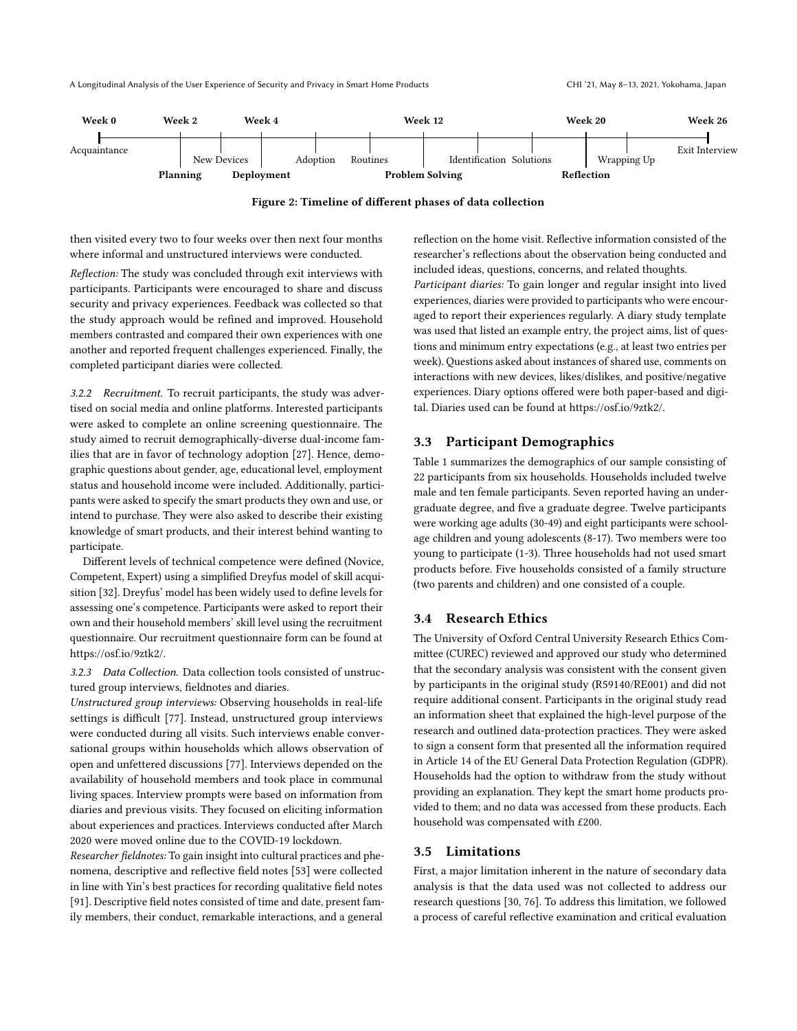<span id="page-4-0"></span>

Figure 2: Timeline of diferent phases of data collection

then visited every two to four weeks over then next four months where informal and unstructured interviews were conducted.

Refection: The study was concluded through exit interviews with participants. Participants were encouraged to share and discuss security and privacy experiences. Feedback was collected so that the study approach would be refned and improved. Household members contrasted and compared their own experiences with one another and reported frequent challenges experienced. Finally, the completed participant diaries were collected.

3.2.2 Recruitment. To recruit participants, the study was advertised on social media and online platforms. Interested participants were asked to complete an online screening questionnaire. The study aimed to recruit demographically-diverse dual-income families that are in favor of technology adoption [\[27\]](#page-12-33). Hence, demographic questions about gender, age, educational level, employment status and household income were included. Additionally, participants were asked to specify the smart products they own and use, or intend to purchase. They were also asked to describe their existing knowledge of smart products, and their interest behind wanting to participate.

Diferent levels of technical competence were defned (Novice, Competent, Expert) using a simplifed Dreyfus model of skill acquisition [\[32\]](#page-12-34). Dreyfus' model has been widely used to defne levels for assessing one's competence. Participants were asked to report their own and their household members' skill level using the recruitment questionnaire. Our recruitment questionnaire form can be found at [https://osf.io/9ztk2/.](https://osf.io/9ztk2/)

3.2.3 Data Collection. Data collection tools consisted of unstructured group interviews, feldnotes and diaries.

Unstructured group interviews: Observing households in real-life settings is difficult [\[77\]](#page-13-31). Instead, unstructured group interviews were conducted during all visits. Such interviews enable conversational groups within households which allows observation of open and unfettered discussions [\[77\]](#page-13-31). Interviews depended on the availability of household members and took place in communal living spaces. Interview prompts were based on information from diaries and previous visits. They focused on eliciting information about experiences and practices. Interviews conducted after March 2020 were moved online due to the COVID-19 lockdown.

Researcher feldnotes: To gain insight into cultural practices and phe-nomena, descriptive and reflective field notes [\[53\]](#page-13-32) were collected in line with Yin's best practices for recording qualitative feld notes [\[91\]](#page-14-7). Descriptive feld notes consisted of time and date, present family members, their conduct, remarkable interactions, and a general

refection on the home visit. Refective information consisted of the researcher's reflections about the observation being conducted and included ideas, questions, concerns, and related thoughts.

Participant diaries: To gain longer and regular insight into lived experiences, diaries were provided to participants who were encouraged to report their experiences regularly. A diary study template was used that listed an example entry, the project aims, list of questions and minimum entry expectations (e.g., at least two entries per week). Questions asked about instances of shared use, comments on interactions with new devices, likes/dislikes, and positive/negative experiences. Diary options ofered were both paper-based and digital. Diaries used can be found at [https://osf.io/9ztk2/.](https://osf.io/9ztk2/)

#### 3.3 Participant Demographics

Table [1](#page-5-1) summarizes the demographics of our sample consisting of 22 participants from six households. Households included twelve male and ten female participants. Seven reported having an undergraduate degree, and fve a graduate degree. Twelve participants were working age adults (30-49) and eight participants were schoolage children and young adolescents (8-17). Two members were too young to participate (1-3). Three households had not used smart products before. Five households consisted of a family structure (two parents and children) and one consisted of a couple.

#### 3.4 Research Ethics

The University of Oxford Central University Research Ethics Committee (CUREC) reviewed and approved our study who determined that the secondary analysis was consistent with the consent given by participants in the original study (R59140/RE001) and did not require additional consent. Participants in the original study read an information sheet that explained the high-level purpose of the research and outlined data-protection practices. They were asked to sign a consent form that presented all the information required in Article 14 of the EU General Data Protection Regulation (GDPR). Households had the option to withdraw from the study without providing an explanation. They kept the smart home products provided to them; and no data was accessed from these products. Each household was compensated with £200.

## 3.5 Limitations

First, a major limitation inherent in the nature of secondary data analysis is that the data used was not collected to address our research questions [\[30,](#page-12-31) [76\]](#page-13-28). To address this limitation, we followed a process of careful refective examination and critical evaluation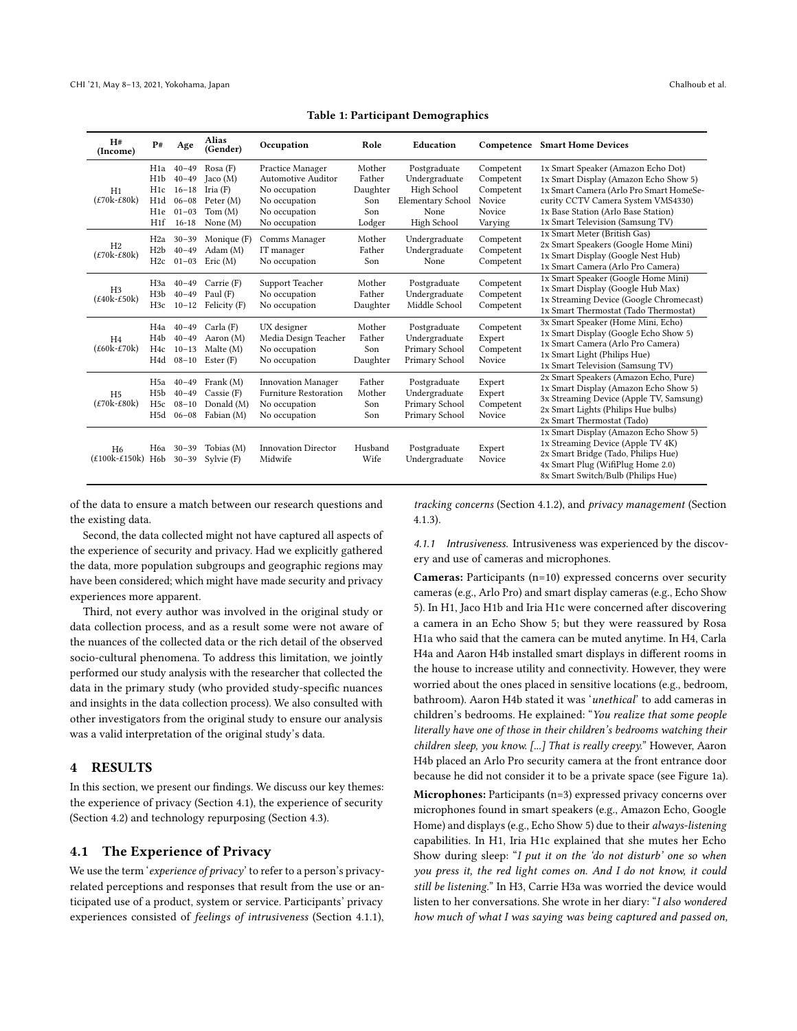<span id="page-5-1"></span>

| H#<br>(Income)                                                        | P#                                                             | Age                                                                        | <b>Alias</b><br>(Gender)                                              | Occupation                                                                                                 | Role                                                 | Education                                                                                       | Competence                                                                | <b>Smart Home Devices</b>                                                                                                                                                                                                               |
|-----------------------------------------------------------------------|----------------------------------------------------------------|----------------------------------------------------------------------------|-----------------------------------------------------------------------|------------------------------------------------------------------------------------------------------------|------------------------------------------------------|-------------------------------------------------------------------------------------------------|---------------------------------------------------------------------------|-----------------------------------------------------------------------------------------------------------------------------------------------------------------------------------------------------------------------------------------|
| H1<br>$(E70k-E80k)$                                                   | H1a<br>H1b<br>H <sub>1c</sub><br>H1d<br>H <sub>1e</sub><br>H1f | $40 - 49$<br>$40 - 49$<br>$16 - 18$<br>$06 - 08$<br>$01 - 03$<br>$16 - 18$ | Rosa(F)<br>Jac (M)<br>Iria $(F)$<br>Peter (M)<br>Tom(M)<br>None $(M)$ | Practice Manager<br>Automotive Auditor<br>No occupation<br>No occupation<br>No occupation<br>No occupation | Mother<br>Father<br>Daughter<br>Son<br>Son<br>Lodger | Postgraduate<br>Undergraduate<br>High School<br><b>Elementary School</b><br>None<br>High School | Competent<br>Competent<br>Competent<br>Novice<br><b>Novice</b><br>Varying | 1x Smart Speaker (Amazon Echo Dot)<br>1x Smart Display (Amazon Echo Show 5)<br>1x Smart Camera (Arlo Pro Smart HomeSe-<br>curity CCTV Camera System VMS4330)<br>1x Base Station (Arlo Base Station)<br>1x Smart Television (Samsung TV) |
| H <sub>2</sub><br>$(\text{\textsterling}70k-\text{\textsterling}80k)$ | H2a<br>H2b<br>H2c                                              | $30 - 39$<br>$40 - 49$<br>$01 - 03$                                        | Monique (F)<br>Adam(M)<br>Eric (M)                                    | Comms Manager<br>IT manager<br>No occupation                                                               | Mother<br>Father<br>Son                              | Undergraduate<br>Undergraduate<br>None                                                          | Competent<br>Competent<br>Competent                                       | 1x Smart Meter (British Gas)<br>2x Smart Speakers (Google Home Mini)<br>1x Smart Display (Google Nest Hub)<br>1x Smart Camera (Arlo Pro Camera)                                                                                         |
| H <sub>3</sub><br>$(\text{\pounds}40k-\text{\pounds}50k)$             | H <sub>3</sub> a<br>H <sub>3</sub> b<br>H3c                    | $40 - 49$<br>$40 - 49$<br>$10 - 12$                                        | Carrie (F)<br>Paul $(F)$<br>Felicity (F)                              | Support Teacher<br>No occupation<br>No occupation                                                          | Mother<br>Father<br>Daughter                         | Postgraduate<br>Undergraduate<br>Middle School                                                  | Competent<br>Competent<br>Competent                                       | 1x Smart Speaker (Google Home Mini)<br>1x Smart Display (Google Hub Max)<br>1x Streaming Device (Google Chromecast)<br>1x Smart Thermostat (Tado Thermostat)                                                                            |
| H <sub>4</sub><br>$(\text{\pounds}60k-\text{\pounds}70k)$             | H4a<br>H <sub>4</sub> b<br>H4c<br>H4d                          | $40 - 49$<br>$40 - 49$<br>$10 - 13$<br>$08 - 10$                           | Carla(F)<br>Aaron (M)<br>Malte (M)<br>Ester(F)                        | UX designer<br>Media Design Teacher<br>No occupation<br>No occupation                                      | Mother<br>Father<br>Son<br>Daughter                  | Postgraduate<br>Undergraduate<br>Primary School<br>Primary School                               | Competent<br>Expert<br>Competent<br>Novice                                | 3x Smart Speaker (Home Mini, Echo)<br>1x Smart Display (Google Echo Show 5)<br>1x Smart Camera (Arlo Pro Camera)<br>1x Smart Light (Philips Hue)<br>1x Smart Television (Samsung TV)                                                    |
| H <sub>5</sub><br>$(E70k-E80k)$                                       | H <sub>5a</sub><br>H <sub>5</sub> b<br>H <sub>5c</sub><br>H5d  | $40 - 49$<br>$40 - 49$<br>$08 - 10$<br>$06 - 08$                           | Frank $(M)$<br>$\text{Cassie}$ (F)<br>Donald (M)<br>Fabian (M)        | <b>Innovation Manager</b><br><b>Furniture Restoration</b><br>No occupation<br>No occupation                | Father<br>Mother<br>Son<br>Son                       | Postgraduate<br>Undergraduate<br>Primary School<br>Primary School                               | Expert<br>Expert<br>Competent<br>Novice                                   | 2x Smart Speakers (Amazon Echo, Pure)<br>1x Smart Display (Amazon Echo Show 5)<br>3x Streaming Device (Apple TV, Samsung)<br>2x Smart Lights (Philips Hue bulbs)<br>2x Smart Thermostat (Tado)                                          |
| H <sub>6</sub><br>$(\text{\pounds}100k-\text{\pounds}150k)$           | H <sub>6</sub> b                                               | H6a 30-39<br>$30 - 39$                                                     | Tobias (M)<br>Sylvie (F)                                              | <b>Innovation Director</b><br>Midwife                                                                      | Husband<br>Wife                                      | Postgraduate<br>Undergraduate                                                                   | Expert<br>Novice                                                          | 1x Smart Display (Amazon Echo Show 5)<br>1x Streaming Device (Apple TV 4K)<br>2x Smart Bridge (Tado, Philips Hue)<br>4x Smart Plug (WifiPlug Home 2.0)<br>8x Smart Switch/Bulb (Philips Hue)                                            |

Table 1: Participant Demographics

of the data to ensure a match between our research questions and the existing data.

Second, the data collected might not have captured all aspects of the experience of security and privacy. Had we explicitly gathered the data, more population subgroups and geographic regions may have been considered; which might have made security and privacy experiences more apparent.

Third, not every author was involved in the original study or data collection process, and as a result some were not aware of the nuances of the collected data or the rich detail of the observed socio-cultural phenomena. To address this limitation, we jointly performed our study analysis with the researcher that collected the data in the primary study (who provided study-specifc nuances and insights in the data collection process). We also consulted with other investigators from the original study to ensure our analysis was a valid interpretation of the original study's data.

## <span id="page-5-0"></span>4 RESULTS

In this section, we present our fndings. We discuss our key themes: the experience of privacy (Section [4.1\)](#page-5-2), the experience of security (Section [4.2\)](#page-7-0) and technology repurposing (Section [4.3\)](#page-8-0).

## <span id="page-5-2"></span>4.1 The Experience of Privacy

We use the term 'experience of privacy' to refer to a person's privacyrelated perceptions and responses that result from the use or anticipated use of a product, system or service. Participants' privacy experiences consisted of feelings of intrusiveness (Section [4.1.1\)](#page-5-3),

tracking concerns (Section [4.1.2\)](#page-6-0), and privacy management (Section [4.1.3\)](#page-6-1).

<span id="page-5-3"></span>4.1.1 Intrusiveness. Intrusiveness was experienced by the discovery and use of cameras and microphones.

Cameras: Participants (n=10) expressed concerns over security cameras (e.g., Arlo Pro) and smart display cameras (e.g., Echo Show 5). In H1, Jaco H1b and Iria H1c were concerned after discovering a camera in an Echo Show 5; but they were reassured by Rosa H1a who said that the camera can be muted anytime. In H4, Carla H4a and Aaron H4b installed smart displays in diferent rooms in the house to increase utility and connectivity. However, they were worried about the ones placed in sensitive locations (e.g., bedroom, bathroom). Aaron H4b stated it was 'unethical' to add cameras in children's bedrooms. He explained: "You realize that some people literally have one of those in their children's bedrooms watching their children sleep, you know. [...] That is really creepy." However, Aaron H4b placed an Arlo Pro security camera at the front entrance door because he did not consider it to be a private space (see Figure [1a](#page-0-0)).

Microphones: Participants (n=3) expressed privacy concerns over microphones found in smart speakers (e.g., Amazon Echo, Google Home) and displays (e.g., Echo Show 5) due to their always-listening capabilities. In H1, Iria H1c explained that she mutes her Echo Show during sleep: "I put it on the 'do not disturb' one so when you press it, the red light comes on. And I do not know, it could still be listening." In H3, Carrie H3a was worried the device would listen to her conversations. She wrote in her diary: "I also wondered how much of what I was saying was being captured and passed on,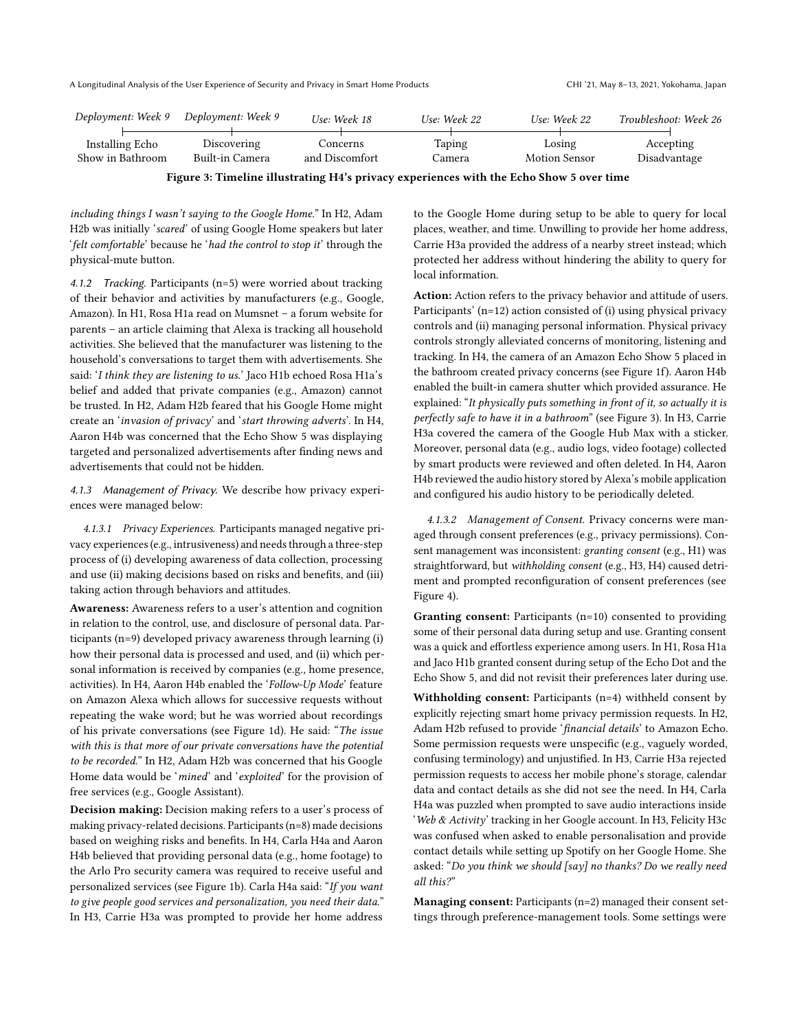<span id="page-6-2"></span>

| Deployment: Week 9 | Deploγment: Week 9 | Use: Week 18   | Use: Week 22 | Use: Week 22  | Troubleshoot: Week 26 |
|--------------------|--------------------|----------------|--------------|---------------|-----------------------|
|                    |                    |                |              |               |                       |
| Installing Echo    | Discovering        | Concerns       | Taping       | Losing        | Accepting             |
| Show in Bathroom   | Built-in Camera    | and Discomfort | Camera       | Motion Sensor | Disadvantage          |
|                    |                    |                |              |               |                       |

Figure 3: Timeline illustrating H4's privacy experiences with the Echo Show 5 over time

including things I wasn't saying to the Google Home." In H2, Adam H2b was initially 'scared' of using Google Home speakers but later 'felt comfortable' because he 'had the control to stop it' through the physical-mute button.

<span id="page-6-0"></span>4.1.2 Tracking. Participants (n=5) were worried about tracking of their behavior and activities by manufacturers (e.g., Google, Amazon). In H1, Rosa H1a read on Mumsnet – a forum website for parents – an article claiming that Alexa is tracking all household activities. She believed that the manufacturer was listening to the household's conversations to target them with advertisements. She said: 'I think they are listening to us.' Jaco H1b echoed Rosa H1a's belief and added that private companies (e.g., Amazon) cannot be trusted. In H2, Adam H2b feared that his Google Home might create an 'invasion of privacy' and 'start throwing adverts'. In H4, Aaron H4b was concerned that the Echo Show 5 was displaying targeted and personalized advertisements after fnding news and advertisements that could not be hidden.

<span id="page-6-1"></span>4.1.3 Management of Privacy. We describe how privacy experiences were managed below:

4.1.3.1 Privacy Experiences. Participants managed negative privacy experiences (e.g., intrusiveness) and needs through a three-step process of (i) developing awareness of data collection, processing and use (ii) making decisions based on risks and benefts, and (iii) taking action through behaviors and attitudes.

Awareness: Awareness refers to a user's attention and cognition in relation to the control, use, and disclosure of personal data. Participants (n=9) developed privacy awareness through learning (i) how their personal data is processed and used, and (ii) which personal information is received by companies (e.g., home presence, activities). In H4, Aaron H4b enabled the 'Follow-Up Mode' feature on Amazon Alexa which allows for successive requests without repeating the wake word; but he was worried about recordings of his private conversations (see Figure [1d](#page-0-0)). He said: "The issue with this is that more of our private conversations have the potential to be recorded." In H2, Adam H2b was concerned that his Google Home data would be 'mined' and 'exploited' for the provision of free services (e.g., Google Assistant).

Decision making: Decision making refers to a user's process of making privacy-related decisions. Participants(n=8) made decisions based on weighing risks and benefts. In H4, Carla H4a and Aaron H4b believed that providing personal data (e.g., home footage) to the Arlo Pro security camera was required to receive useful and personalized services (see Figure [1b](#page-0-0)). Carla H4a said: "If you want to give people good services and personalization, you need their data." In H3, Carrie H3a was prompted to provide her home address

to the Google Home during setup to be able to query for local places, weather, and time. Unwilling to provide her home address, Carrie H3a provided the address of a nearby street instead; which protected her address without hindering the ability to query for local information.

Action: Action refers to the privacy behavior and attitude of users. Participants' (n=12) action consisted of (i) using physical privacy controls and (ii) managing personal information. Physical privacy controls strongly alleviated concerns of monitoring, listening and tracking. In H4, the camera of an Amazon Echo Show 5 placed in the bathroom created privacy concerns (see Figure [1f](#page-0-0)). Aaron H4b enabled the built-in camera shutter which provided assurance. He explained: "It physically puts something in front of it, so actually it is perfectly safe to have it in a bathroom" (see Figure [3\)](#page-6-2). In H3, Carrie H3a covered the camera of the Google Hub Max with a sticker. Moreover, personal data (e.g., audio logs, video footage) collected by smart products were reviewed and often deleted. In H4, Aaron H4b reviewed the audio history stored by Alexa's mobile application and confgured his audio history to be periodically deleted.

4.1.3.2 Management of Consent. Privacy concerns were managed through consent preferences (e.g., privacy permissions). Consent management was inconsistent: granting consent (e.g., H1) was straightforward, but withholding consent (e.g., H3, H4) caused detriment and prompted reconfguration of consent preferences (see Figure [4\)](#page-7-1).

Granting consent: Participants (n=10) consented to providing some of their personal data during setup and use. Granting consent was a quick and efortless experience among users. In H1, Rosa H1a and Jaco H1b granted consent during setup of the Echo Dot and the Echo Show 5, and did not revisit their preferences later during use.

Withholding consent: Participants (n=4) withheld consent by explicitly rejecting smart home privacy permission requests. In H2, Adam H2b refused to provide 'fnancial details' to Amazon Echo. Some permission requests were unspecifc (e.g., vaguely worded, confusing terminology) and unjustifed. In H3, Carrie H3a rejected permission requests to access her mobile phone's storage, calendar data and contact details as she did not see the need. In H4, Carla H4a was puzzled when prompted to save audio interactions inside 'Web & Activity' tracking in her Google account. In H3, Felicity H3c was confused when asked to enable personalisation and provide contact details while setting up Spotify on her Google Home. She asked: "Do you think we should [say] no thanks? Do we really need all this?"

Managing consent: Participants (n=2) managed their consent settings through preference-management tools. Some settings were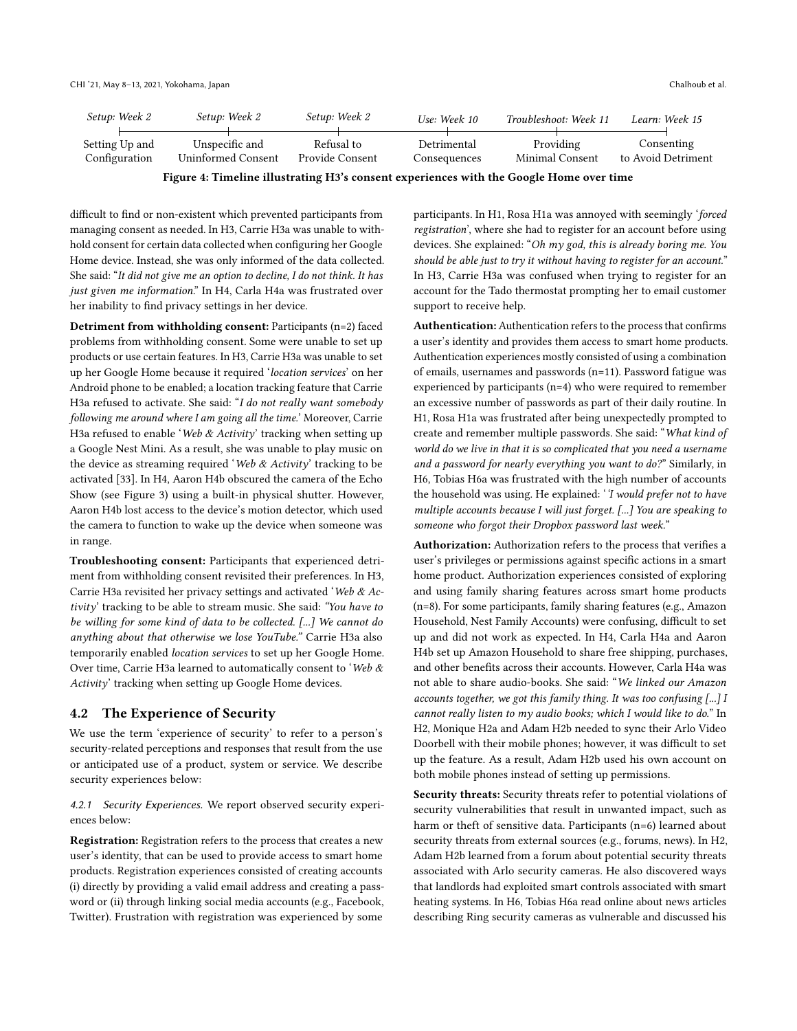<span id="page-7-1"></span>

| Setup: Week 2                   | Setup: Week 2                        | Setup: Week 2                 | Use: Week 10                | Troubleshoot: Week 11        | Learn: Week 15                   |
|---------------------------------|--------------------------------------|-------------------------------|-----------------------------|------------------------------|----------------------------------|
| Setting Up and<br>Configuration | Unspecific and<br>Uninformed Consent | Refusal to<br>Provide Consent | Detrimental<br>Consequences | Providing<br>Minimal Consent | Consenting<br>to Avoid Detriment |
|                                 |                                      |                               |                             |                              |                                  |

Figure 4: Timeline illustrating H3's consent experiences with the Google Home over time

difficult to find or non-existent which prevented participants from managing consent as needed. In H3, Carrie H3a was unable to withhold consent for certain data collected when confguring her Google Home device. Instead, she was only informed of the data collected. She said: "It did not give me an option to decline, I do not think. It has just given me information." In H4, Carla H4a was frustrated over her inability to fnd privacy settings in her device.

Detriment from withholding consent: Participants (n=2) faced problems from withholding consent. Some were unable to set up products or use certain features. In H3, Carrie H3a was unable to set up her Google Home because it required 'location services' on her Android phone to be enabled; a location tracking feature that Carrie H3a refused to activate. She said: "I do not really want somebody following me around where I am going all the time.' Moreover, Carrie H3a refused to enable 'Web & Activity' tracking when setting up a Google Nest Mini. As a result, she was unable to play music on the device as streaming required 'Web  $\&$  Activity' tracking to be activated [\[33\]](#page-12-35). In H4, Aaron H4b obscured the camera of the Echo Show (see Figure [3\)](#page-6-2) using a built-in physical shutter. However, Aaron H4b lost access to the device's motion detector, which used the camera to function to wake up the device when someone was in range.

Troubleshooting consent: Participants that experienced detriment from withholding consent revisited their preferences. In H3, Carrie H3a revisited her privacy settings and activated 'Web & Activity' tracking to be able to stream music. She said: "You have to be willing for some kind of data to be collected. [...] We cannot do anything about that otherwise we lose YouTube." Carrie H3a also temporarily enabled location services to set up her Google Home. Over time, Carrie H3a learned to automatically consent to 'Web & Activity' tracking when setting up Google Home devices.

## <span id="page-7-0"></span>4.2 The Experience of Security

We use the term 'experience of security' to refer to a person's security-related perceptions and responses that result from the use or anticipated use of a product, system or service. We describe security experiences below:

<span id="page-7-2"></span>4.2.1 Security Experiences. We report observed security experiences below:

Registration: Registration refers to the process that creates a new user's identity, that can be used to provide access to smart home products. Registration experiences consisted of creating accounts (i) directly by providing a valid email address and creating a password or (ii) through linking social media accounts (e.g., Facebook, Twitter). Frustration with registration was experienced by some

participants. In H1, Rosa H1a was annoyed with seemingly 'forced registration', where she had to register for an account before using devices. She explained: "Oh my god, this is already boring me. You should be able just to try it without having to register for an account." In H3, Carrie H3a was confused when trying to register for an account for the Tado thermostat prompting her to email customer support to receive help.

Authentication: Authentication refers to the process that confirms a user's identity and provides them access to smart home products. Authentication experiences mostly consisted of using a combination of emails, usernames and passwords (n=11). Password fatigue was experienced by participants (n=4) who were required to remember an excessive number of passwords as part of their daily routine. In H1, Rosa H1a was frustrated after being unexpectedly prompted to create and remember multiple passwords. She said: "What kind of world do we live in that it is so complicated that you need a username and a password for nearly everything you want to do?" Similarly, in H6, Tobias H6a was frustrated with the high number of accounts the household was using. He explained: '*I would prefer not to have* multiple accounts because I will just forget. [...] You are speaking to someone who forgot their Dropbox password last week."

Authorization: Authorization refers to the process that verifes a user's privileges or permissions against specifc actions in a smart home product. Authorization experiences consisted of exploring and using family sharing features across smart home products (n=8). For some participants, family sharing features (e.g., Amazon Household, Nest Family Accounts) were confusing, difficult to set up and did not work as expected. In H4, Carla H4a and Aaron H4b set up Amazon Household to share free shipping, purchases, and other benefts across their accounts. However, Carla H4a was not able to share audio-books. She said: "We linked our Amazon accounts together, we got this family thing. It was too confusing [...] I cannot really listen to my audio books; which I would like to do." In H2, Monique H2a and Adam H2b needed to sync their Arlo Video Doorbell with their mobile phones; however, it was difficult to set up the feature. As a result, Adam H2b used his own account on both mobile phones instead of setting up permissions.

Security threats: Security threats refer to potential violations of security vulnerabilities that result in unwanted impact, such as harm or theft of sensitive data. Participants (n=6) learned about security threats from external sources (e.g., forums, news). In H2, Adam H2b learned from a forum about potential security threats associated with Arlo security cameras. He also discovered ways that landlords had exploited smart controls associated with smart heating systems. In H6, Tobias H6a read online about news articles describing Ring security cameras as vulnerable and discussed his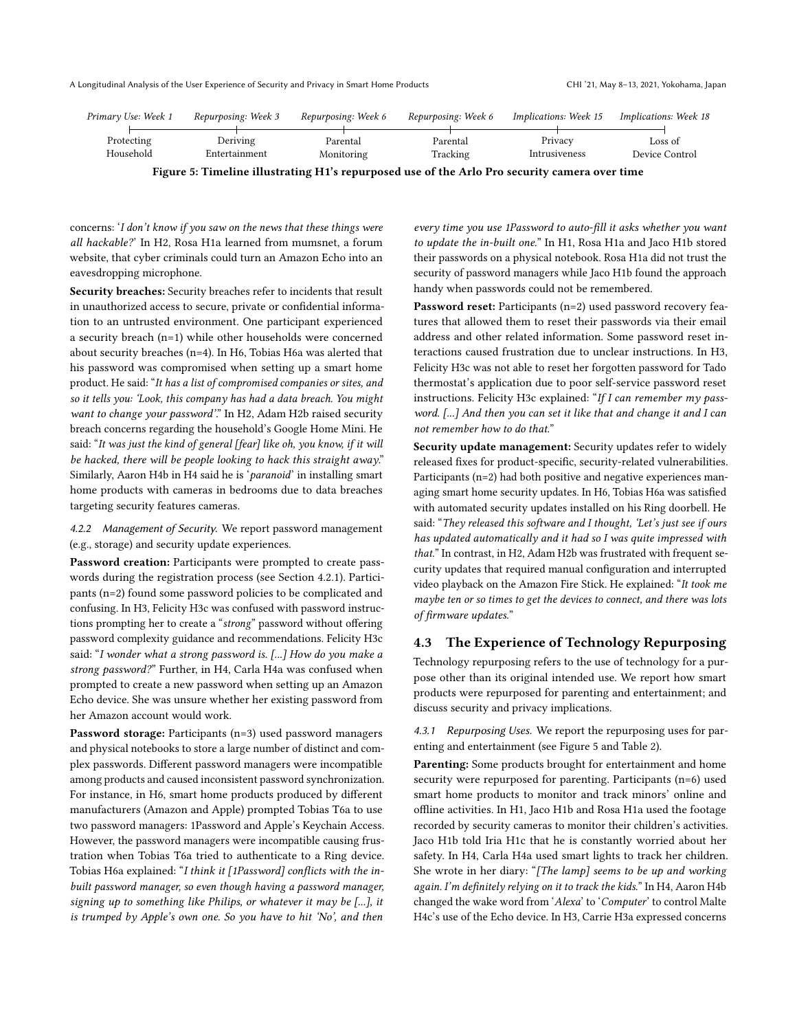<span id="page-8-1"></span>

| Primary Use: Week 1 | Repurposing: Week 3 | Repurposing: Week 6 | Repurposing: Week 6 | Implications: Week 15                                                                                   | Implications: Week 18 |
|---------------------|---------------------|---------------------|---------------------|---------------------------------------------------------------------------------------------------------|-----------------------|
|                     |                     |                     |                     |                                                                                                         |                       |
| Protecting          | Deriving            | Parental            | Parental            | Privacy                                                                                                 | Loss of               |
| Household           | Entertainment       | Monitoring          | Tracking            | Intrusiveness                                                                                           | Device Control        |
|                     |                     |                     |                     | Placed F. Time Hotel Hookmath a 114), account of James of the Aule Day of contract control computations |                       |

Figure 5: Timeline illustrating H1's repurposed use of the Arlo Pro security camera over time

concerns: 'I don't know if you saw on the news that these things were all hackable?' In H2, Rosa H1a learned from mumsnet, a forum website, that cyber criminals could turn an Amazon Echo into an eavesdropping microphone.

Security breaches: Security breaches refer to incidents that result in unauthorized access to secure, private or confdential information to an untrusted environment. One participant experienced a security breach (n=1) while other households were concerned about security breaches (n=4). In H6, Tobias H6a was alerted that his password was compromised when setting up a smart home product. He said: "It has a list of compromised companies or sites, and so it tells you: 'Look, this company has had a data breach. You might want to change your password". In H2, Adam H2b raised security breach concerns regarding the household's Google Home Mini. He said: "It was just the kind of general [fear] like oh, you know, if it will be hacked, there will be people looking to hack this straight away." Similarly, Aaron H4b in H4 said he is 'paranoid' in installing smart home products with cameras in bedrooms due to data breaches targeting security features cameras.

4.2.2 Management of Security. We report password management (e.g., storage) and security update experiences.

Password creation: Participants were prompted to create passwords during the registration process (see Section [4.2.1\)](#page-7-2). Participants (n=2) found some password policies to be complicated and confusing. In H3, Felicity H3c was confused with password instructions prompting her to create a "strong" password without offering password complexity guidance and recommendations. Felicity H3c said: "I wonder what a strong password is. [...] How do you make a strong password?" Further, in H4, Carla H4a was confused when prompted to create a new password when setting up an Amazon Echo device. She was unsure whether her existing password from her Amazon account would work.

Password storage: Participants (n=3) used password managers and physical notebooks to store a large number of distinct and complex passwords. Diferent password managers were incompatible among products and caused inconsistent password synchronization. For instance, in H6, smart home products produced by diferent manufacturers (Amazon and Apple) prompted Tobias T6a to use two password managers: 1Password and Apple's Keychain Access. However, the password managers were incompatible causing frustration when Tobias T6a tried to authenticate to a Ring device. Tobias H6a explained: "I think it [1Password] conficts with the inbuilt password manager, so even though having a password manager, signing up to something like Philips, or whatever it may be [...], it is trumped by Apple's own one. So you have to hit 'No', and then

every time you use 1Password to auto-fll it asks whether you want to update the in-built one." In H1, Rosa H1a and Jaco H1b stored their passwords on a physical notebook. Rosa H1a did not trust the security of password managers while Jaco H1b found the approach handy when passwords could not be remembered.

Password reset: Participants (n=2) used password recovery features that allowed them to reset their passwords via their email address and other related information. Some password reset interactions caused frustration due to unclear instructions. In H3, Felicity H3c was not able to reset her forgotten password for Tado thermostat's application due to poor self-service password reset instructions. Felicity H3c explained: "If I can remember my password. [...] And then you can set it like that and change it and I can not remember how to do that."

Security update management: Security updates refer to widely released fxes for product-specifc, security-related vulnerabilities. Participants (n=2) had both positive and negative experiences managing smart home security updates. In H6, Tobias H6a was satisfed with automated security updates installed on his Ring doorbell. He said: "They released this software and I thought, 'Let's just see if ours has updated automatically and it had so I was quite impressed with that." In contrast, in H2, Adam H2b was frustrated with frequent security updates that required manual confguration and interrupted video playback on the Amazon Fire Stick. He explained: "It took me maybe ten or so times to get the devices to connect, and there was lots of frmware updates."

## <span id="page-8-0"></span>4.3 The Experience of Technology Repurposing

Technology repurposing refers to the use of technology for a purpose other than its original intended use. We report how smart products were repurposed for parenting and entertainment; and discuss security and privacy implications.

4.3.1 Repurposing Uses. We report the repurposing uses for parenting and entertainment (see Figure [5](#page-8-1) and Table [2\)](#page-10-0).

Parenting: Some products brought for entertainment and home security were repurposed for parenting. Participants (n=6) used smart home products to monitor and track minors' online and ofine activities. In H1, Jaco H1b and Rosa H1a used the footage recorded by security cameras to monitor their children's activities. Jaco H1b told Iria H1c that he is constantly worried about her safety. In H4, Carla H4a used smart lights to track her children. She wrote in her diary: "[The lamp] seems to be up and working again. I'm defnitely relying on it to track the kids." In H4, Aaron H4b changed the wake word from 'Alexa' to 'Computer' to control Malte H4c's use of the Echo device. In H3, Carrie H3a expressed concerns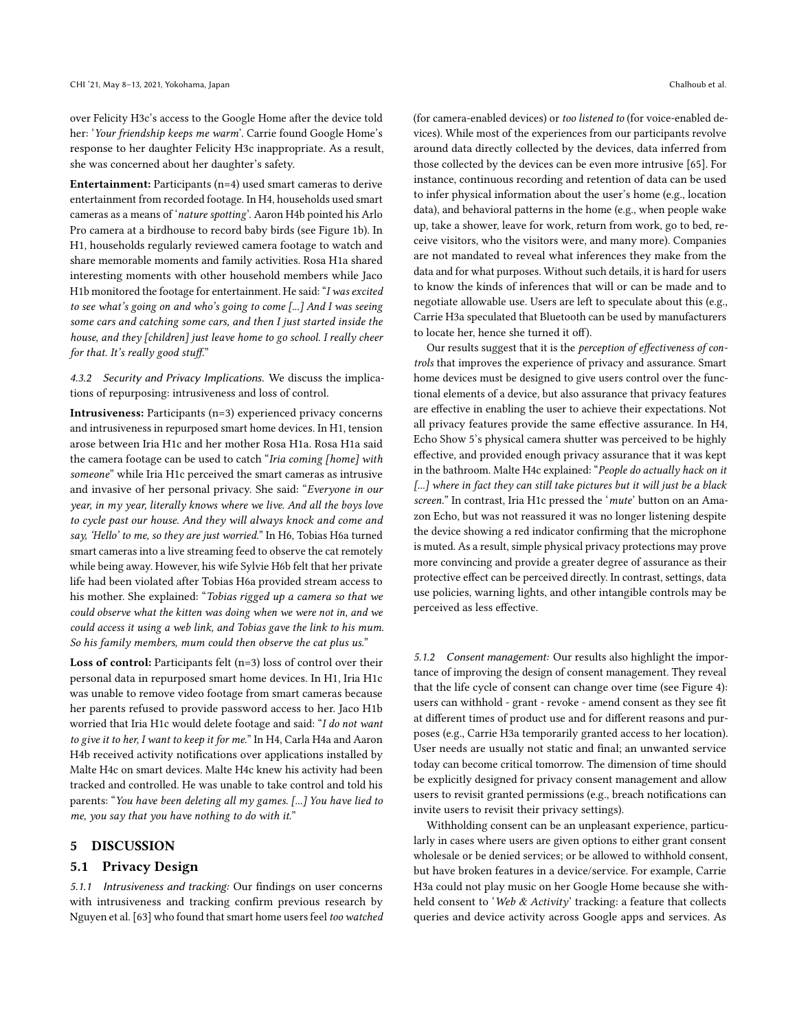over Felicity H3c's access to the Google Home after the device told her: 'Your friendship keeps me warm'. Carrie found Google Home's response to her daughter Felicity H3c inappropriate. As a result, she was concerned about her daughter's safety.

Entertainment: Participants (n=4) used smart cameras to derive entertainment from recorded footage. In H4, households used smart cameras as a means of 'nature spotting'. Aaron H4b pointed his Arlo Pro camera at a birdhouse to record baby birds (see Figure [1b](#page-0-0)). In H1, households regularly reviewed camera footage to watch and share memorable moments and family activities. Rosa H1a shared interesting moments with other household members while Jaco H1b monitored the footage for entertainment. He said: "I was excited to see what's going on and who's going to come [...] And I was seeing some cars and catching some cars, and then I just started inside the house, and they [children] just leave home to go school. I really cheer for that. It's really good stuff."

4.3.2 Security and Privacy Implications. We discuss the implications of repurposing: intrusiveness and loss of control.

Intrusiveness: Participants (n=3) experienced privacy concerns and intrusiveness in repurposed smart home devices. In H1, tension arose between Iria H1c and her mother Rosa H1a. Rosa H1a said the camera footage can be used to catch "Iria coming [home] with someone" while Iria H1c perceived the smart cameras as intrusive and invasive of her personal privacy. She said: "Everyone in our year, in my year, literally knows where we live. And all the boys love to cycle past our house. And they will always knock and come and say, 'Hello' to me, so they are just worried." In H6, Tobias H6a turned smart cameras into a live streaming feed to observe the cat remotely while being away. However, his wife Sylvie H6b felt that her private life had been violated after Tobias H6a provided stream access to his mother. She explained: "Tobias rigged up a camera so that we could observe what the kitten was doing when we were not in, and we could access it using a web link, and Tobias gave the link to his mum. So his family members, mum could then observe the cat plus us."

Loss of control: Participants felt (n=3) loss of control over their personal data in repurposed smart home devices. In H1, Iria H1c was unable to remove video footage from smart cameras because her parents refused to provide password access to her. Jaco H1b worried that Iria H1c would delete footage and said: "I do not want to give it to her, I want to keep it for me." In H4, Carla H4a and Aaron H4b received activity notifcations over applications installed by Malte H4c on smart devices. Malte H4c knew his activity had been tracked and controlled. He was unable to take control and told his parents: "You have been deleting all my games. [...] You have lied to me, you say that you have nothing to do with it."

## <span id="page-9-0"></span>5 DISCUSSION

#### 5.1 Privacy Design

5.1.1 Intrusiveness and tracking: Our fndings on user concerns with intrusiveness and tracking confrm previous research by Nguyen et al. [\[63\]](#page-13-33) who found that smart home users feel too watched (for camera-enabled devices) or too listened to (for voice-enabled devices). While most of the experiences from our participants revolve around data directly collected by the devices, data inferred from those collected by the devices can be even more intrusive [\[65\]](#page-13-34). For instance, continuous recording and retention of data can be used to infer physical information about the user's home (e.g., location data), and behavioral patterns in the home (e.g., when people wake up, take a shower, leave for work, return from work, go to bed, receive visitors, who the visitors were, and many more). Companies are not mandated to reveal what inferences they make from the data and for what purposes. Without such details, it is hard for users to know the kinds of inferences that will or can be made and to negotiate allowable use. Users are left to speculate about this (e.g., Carrie H3a speculated that Bluetooth can be used by manufacturers to locate her, hence she turned it off).

Our results suggest that it is the perception of effectiveness of controls that improves the experience of privacy and assurance. Smart home devices must be designed to give users control over the functional elements of a device, but also assurance that privacy features are efective in enabling the user to achieve their expectations. Not all privacy features provide the same efective assurance. In H4, Echo Show 5's physical camera shutter was perceived to be highly efective, and provided enough privacy assurance that it was kept in the bathroom. Malte H4c explained: "People do actually hack on it [...] where in fact they can still take pictures but it will just be a black screen." In contrast, Iria H1c pressed the 'mute' button on an Amazon Echo, but was not reassured it was no longer listening despite the device showing a red indicator confrming that the microphone is muted. As a result, simple physical privacy protections may prove more convincing and provide a greater degree of assurance as their protective efect can be perceived directly. In contrast, settings, data use policies, warning lights, and other intangible controls may be perceived as less efective.

5.1.2 Consent management: Our results also highlight the importance of improving the design of consent management. They reveal that the life cycle of consent can change over time (see Figure [4\)](#page-7-1): users can withhold - grant - revoke - amend consent as they see ft at diferent times of product use and for diferent reasons and purposes (e.g., Carrie H3a temporarily granted access to her location). User needs are usually not static and fnal; an unwanted service today can become critical tomorrow. The dimension of time should be explicitly designed for privacy consent management and allow users to revisit granted permissions (e.g., breach notifcations can invite users to revisit their privacy settings).

Withholding consent can be an unpleasant experience, particularly in cases where users are given options to either grant consent wholesale or be denied services; or be allowed to withhold consent, but have broken features in a device/service. For example, Carrie H3a could not play music on her Google Home because she withheld consent to 'Web & Activity' tracking: a feature that collects queries and device activity across Google apps and services. As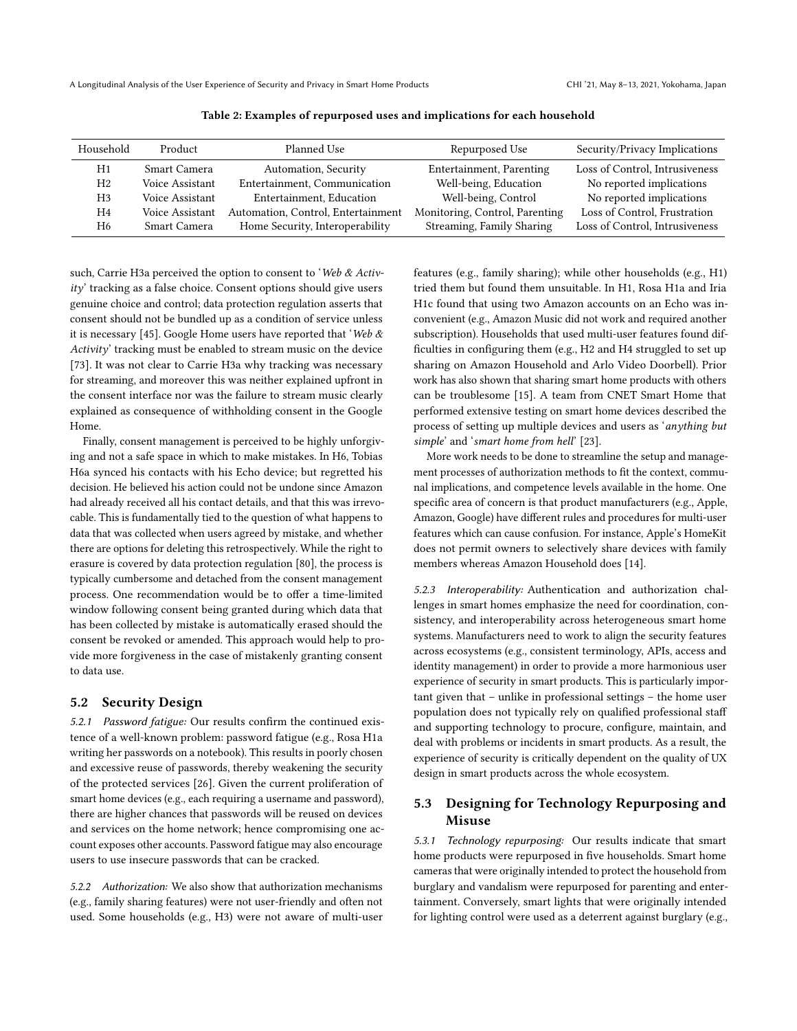<span id="page-10-0"></span>

| Household      | Product         | Planned Use                        | Repurposed Use                 | Security/Privacy Implications  |
|----------------|-----------------|------------------------------------|--------------------------------|--------------------------------|
| H1             | Smart Camera    | Automation, Security               | Entertainment, Parenting       | Loss of Control, Intrusiveness |
| H <sub>2</sub> | Voice Assistant | Entertainment, Communication       | Well-being, Education          | No reported implications       |
| H3             | Voice Assistant | Entertainment, Education           | Well-being, Control            | No reported implications       |
| H <sub>4</sub> | Voice Assistant | Automation, Control, Entertainment | Monitoring, Control, Parenting | Loss of Control, Frustration   |
| H6             | Smart Camera    | Home Security, Interoperability    | Streaming, Family Sharing      | Loss of Control, Intrusiveness |

Table 2: Examples of repurposed uses and implications for each household

such, Carrie H3a perceived the option to consent to 'Web & Activity' tracking as a false choice. Consent options should give users genuine choice and control; data protection regulation asserts that consent should not be bundled up as a condition of service unless it is necessary [\[45\]](#page-13-35). Google Home users have reported that 'Web  $\&$ Activity' tracking must be enabled to stream music on the device [\[73\]](#page-13-36). It was not clear to Carrie H3a why tracking was necessary for streaming, and moreover this was neither explained upfront in the consent interface nor was the failure to stream music clearly explained as consequence of withholding consent in the Google Home.

Finally, consent management is perceived to be highly unforgiving and not a safe space in which to make mistakes. In H6, Tobias H6a synced his contacts with his Echo device; but regretted his decision. He believed his action could not be undone since Amazon had already received all his contact details, and that this was irrevocable. This is fundamentally tied to the question of what happens to data that was collected when users agreed by mistake, and whether there are options for deleting this retrospectively. While the right to erasure is covered by data protection regulation [\[80\]](#page-13-37), the process is typically cumbersome and detached from the consent management process. One recommendation would be to offer a time-limited window following consent being granted during which data that has been collected by mistake is automatically erased should the consent be revoked or amended. This approach would help to provide more forgiveness in the case of mistakenly granting consent to data use.

## 5.2 Security Design

5.2.1 Password fatigue: Our results confrm the continued existence of a well-known problem: password fatigue (e.g., Rosa H1a writing her passwords on a notebook). This results in poorly chosen and excessive reuse of passwords, thereby weakening the security of the protected services [\[26\]](#page-12-36). Given the current proliferation of smart home devices (e.g., each requiring a username and password), there are higher chances that passwords will be reused on devices and services on the home network; hence compromising one account exposes other accounts. Password fatigue may also encourage users to use insecure passwords that can be cracked.

5.2.2 Authorization: We also show that authorization mechanisms (e.g., family sharing features) were not user-friendly and often not used. Some households (e.g., H3) were not aware of multi-user features (e.g., family sharing); while other households (e.g., H1) tried them but found them unsuitable. In H1, Rosa H1a and Iria H1c found that using two Amazon accounts on an Echo was inconvenient (e.g., Amazon Music did not work and required another subscription). Households that used multi-user features found diffculties in confguring them (e.g., H2 and H4 struggled to set up sharing on Amazon Household and Arlo Video Doorbell). Prior work has also shown that sharing smart home products with others can be troublesome [\[15\]](#page-12-37). A team from CNET Smart Home that performed extensive testing on smart home devices described the process of setting up multiple devices and users as 'anything but simple' and 'smart home from hell' [\[23\]](#page-12-38).

More work needs to be done to streamline the setup and management processes of authorization methods to fit the context, communal implications, and competence levels available in the home. One specifc area of concern is that product manufacturers (e.g., Apple, Amazon, Google) have diferent rules and procedures for multi-user features which can cause confusion. For instance, Apple's HomeKit does not permit owners to selectively share devices with family members whereas Amazon Household does [\[14\]](#page-12-39).

5.2.3 Interoperability: Authentication and authorization challenges in smart homes emphasize the need for coordination, consistency, and interoperability across heterogeneous smart home systems. Manufacturers need to work to align the security features across ecosystems (e.g., consistent terminology, APIs, access and identity management) in order to provide a more harmonious user experience of security in smart products. This is particularly important given that – unlike in professional settings – the home user population does not typically rely on qualifed professional staf and supporting technology to procure, confgure, maintain, and deal with problems or incidents in smart products. As a result, the experience of security is critically dependent on the quality of UX design in smart products across the whole ecosystem.

# 5.3 Designing for Technology Repurposing and Misuse

5.3.1 Technology repurposing: Our results indicate that smart home products were repurposed in fve households. Smart home camerasthat were originally intended to protect the household from burglary and vandalism were repurposed for parenting and entertainment. Conversely, smart lights that were originally intended for lighting control were used as a deterrent against burglary (e.g.,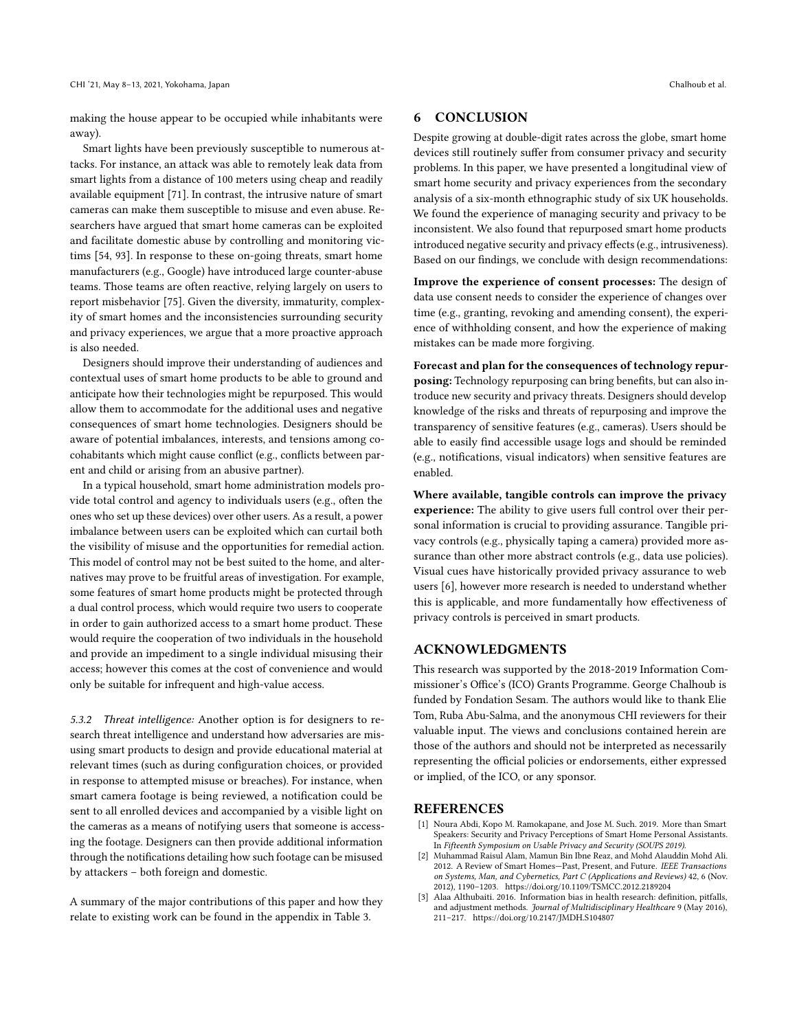making the house appear to be occupied while inhabitants were away).

Smart lights have been previously susceptible to numerous attacks. For instance, an attack was able to remotely leak data from smart lights from a distance of 100 meters using cheap and readily available equipment [\[71\]](#page-13-38). In contrast, the intrusive nature of smart cameras can make them susceptible to misuse and even abuse. Researchers have argued that smart home cameras can be exploited and facilitate domestic abuse by controlling and monitoring victims [\[54,](#page-13-39) [93\]](#page-14-0). In response to these on-going threats, smart home manufacturers (e.g., Google) have introduced large counter-abuse teams. Those teams are often reactive, relying largely on users to report misbehavior [\[75\]](#page-13-40). Given the diversity, immaturity, complexity of smart homes and the inconsistencies surrounding security and privacy experiences, we argue that a more proactive approach is also needed.

Designers should improve their understanding of audiences and contextual uses of smart home products to be able to ground and anticipate how their technologies might be repurposed. This would allow them to accommodate for the additional uses and negative consequences of smart home technologies. Designers should be aware of potential imbalances, interests, and tensions among cocohabitants which might cause confict (e.g., conficts between parent and child or arising from an abusive partner).

In a typical household, smart home administration models provide total control and agency to individuals users (e.g., often the ones who set up these devices) over other users. As a result, a power imbalance between users can be exploited which can curtail both the visibility of misuse and the opportunities for remedial action. This model of control may not be best suited to the home, and alternatives may prove to be fruitful areas of investigation. For example, some features of smart home products might be protected through a dual control process, which would require two users to cooperate in order to gain authorized access to a smart home product. These would require the cooperation of two individuals in the household and provide an impediment to a single individual misusing their access; however this comes at the cost of convenience and would only be suitable for infrequent and high-value access.

5.3.2 Threat intelligence: Another option is for designers to research threat intelligence and understand how adversaries are misusing smart products to design and provide educational material at relevant times (such as during confguration choices, or provided in response to attempted misuse or breaches). For instance, when smart camera footage is being reviewed, a notifcation could be sent to all enrolled devices and accompanied by a visible light on the cameras as a means of notifying users that someone is accessing the footage. Designers can then provide additional information through the notifcations detailing how such footage can be misused by attackers – both foreign and domestic.

A summary of the major contributions of this paper and how they relate to existing work can be found in the appendix in Table [3.](#page-15-1)

## <span id="page-11-0"></span>6 CONCLUSION

Despite growing at double-digit rates across the globe, smart home devices still routinely sufer from consumer privacy and security problems. In this paper, we have presented a longitudinal view of smart home security and privacy experiences from the secondary analysis of a six-month ethnographic study of six UK households. We found the experience of managing security and privacy to be inconsistent. We also found that repurposed smart home products introduced negative security and privacy efects(e.g., intrusiveness). Based on our fndings, we conclude with design recommendations:

Improve the experience of consent processes: The design of data use consent needs to consider the experience of changes over time (e.g., granting, revoking and amending consent), the experience of withholding consent, and how the experience of making mistakes can be made more forgiving.

Forecast and plan for the consequences of technology repurposing: Technology repurposing can bring benefts, but can also introduce new security and privacy threats. Designers should develop knowledge of the risks and threats of repurposing and improve the transparency of sensitive features (e.g., cameras). Users should be able to easily fnd accessible usage logs and should be reminded (e.g., notifcations, visual indicators) when sensitive features are enabled.

Where available, tangible controls can improve the privacy experience: The ability to give users full control over their personal information is crucial to providing assurance. Tangible privacy controls (e.g., physically taping a camera) provided more assurance than other more abstract controls (e.g., data use policies). Visual cues have historically provided privacy assurance to web users [\[6\]](#page-12-40), however more research is needed to understand whether this is applicable, and more fundamentally how efectiveness of privacy controls is perceived in smart products.

# ACKNOWLEDGMENTS

This research was supported by the 2018-2019 Information Commissioner's Office's (ICO) Grants Programme. George Chalhoub is funded by Fondation Sesam. The authors would like to thank Elie Tom, Ruba Abu-Salma, and the anonymous CHI reviewers for their valuable input. The views and conclusions contained herein are those of the authors and should not be interpreted as necessarily representing the official policies or endorsements, either expressed or implied, of the ICO, or any sponsor.

## **REFERENCES**

- <span id="page-11-2"></span>[1] Noura Abdi, Kopo M. Ramokapane, and Jose M. Such. 2019. More than Smart Speakers: Security and Privacy Perceptions of Smart Home Personal Assistants. In Fifteenth Symposium on Usable Privacy and Security (SOUPS 2019).
- <span id="page-11-1"></span>[2] Muhammad Raisul Alam, Mamun Bin Ibne Reaz, and Mohd Alauddin Mohd Ali. 2012. A Review of Smart Homes—Past, Present, and Future. IEEE Transactions on Systems, Man, and Cybernetics, Part C (Applications and Reviews) 42, 6 (Nov. 2012), 1190–1203. <https://doi.org/10.1109/TSMCC.2012.2189204>
- <span id="page-11-3"></span>[3] Alaa Althubaiti. 2016. Information bias in health research: defnition, pitfalls, and adjustment methods. Journal of Multidisciplinary Healthcare 9 (May 2016), 211–217. <https://doi.org/10.2147/JMDH.S104807>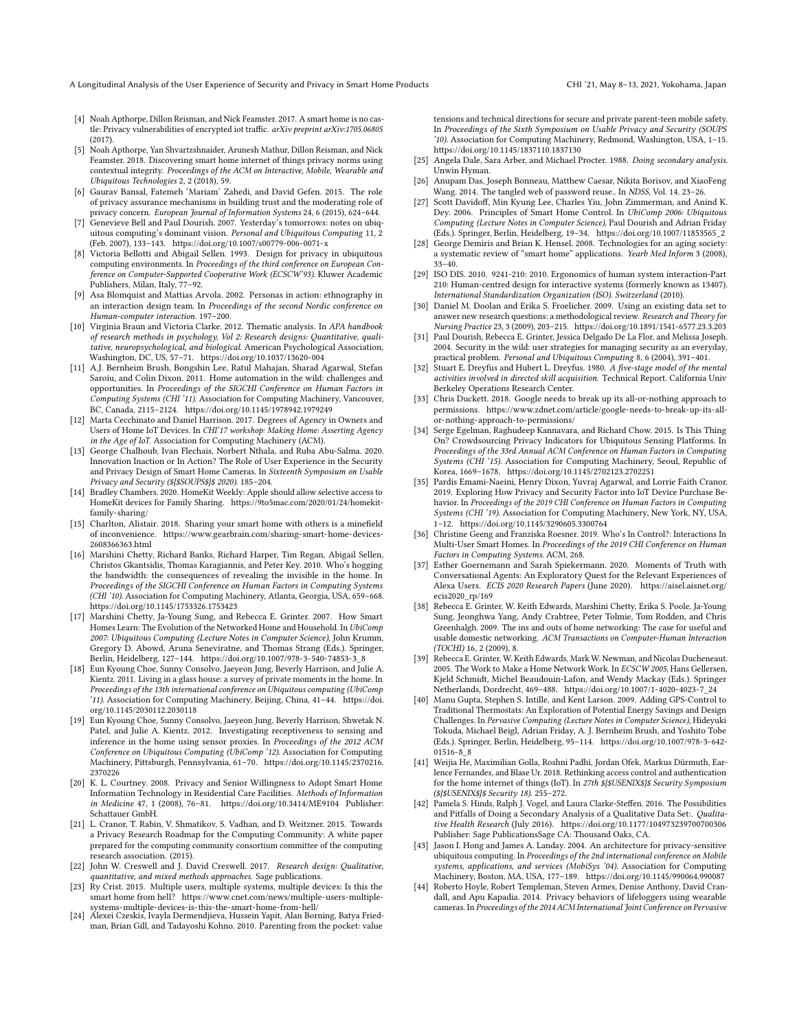- <span id="page-12-14"></span>[4] Noah Apthorpe, Dillon Reisman, and Nick Feamster. 2017. A smart home is no castle: Privacy vulnerabilities of encrypted iot traffic. arXiv preprint arXiv:1705.06805 (2017).
- <span id="page-12-21"></span>[5] Noah Apthorpe, Yan Shvartzshnaider, Arunesh Mathur, Dillon Reisman, and Nick Feamster. 2018. Discovering smart home internet of things privacy norms using contextual integrity. Proceedings of the ACM on Interactive, Mobile, Wearable and Ubiquitous Technologies 2, 2 (2018), 59.
- <span id="page-12-40"></span>[6] Gaurav Bansal, Fatemeh 'Mariam' Zahedi, and David Gefen. 2015. The role of privacy assurance mechanisms in building trust and the moderating role of privacy concern. European Journal of Information Systems 24, 6 (2015), 624–644.
- <span id="page-12-20"></span>[7] Genevieve Bell and Paul Dourish. 2007. Yesterday's tomorrows: notes on ubiquitous computing's dominant vision. Personal and Ubiquitous Computing 11, 2 (Feb. 2007), 133–143. <https://doi.org/10.1007/s00779-006-0071-x>
- <span id="page-12-9"></span>[8] Victoria Bellotti and Abigail Sellen. 1993. Design for privacy in ubiquitous computing environments. In Proceedings of the third conference on European Conference on Computer-Supported Cooperative Work (ECSCW'93). Kluwer Academic Publishers, Milan, Italy, 77–92.
- <span id="page-12-29"></span>[9] Asa Blomquist and Mattias Arvola. 2002. Personas in action: ethnography in an interaction design team. In Proceedings of the second Nordic conference on Human-computer interaction. 197–200.
- <span id="page-12-32"></span>[10] Virginia Braun and Victoria Clarke. 2012. Thematic analysis. In APA handbook of research methods in psychology, Vol 2: Research designs: Quantitative, qualitative, neuropsychological, and biological. American Psychological Association, Washington, DC, US, 57–71. <https://doi.org/10.1037/13620-004>
- <span id="page-12-4"></span>[11] A.J. Bernheim Brush, Bongshin Lee, Ratul Mahajan, Sharad Agarwal, Stefan Saroiu, and Colin Dixon. 2011. Home automation in the wild: challenges and opportunities. In Proceedings of the SIGCHI Conference on Human Factors in Computing Systems (CHI '11). Association for Computing Machinery, Vancouver, BC, Canada, 2115–2124. <https://doi.org/10.1145/1978942.1979249>
- <span id="page-12-19"></span>[12] Marta Cecchinato and Daniel Harrison. 2017. Degrees of Agency in Owners and Users of Home IoT Devices. In CHI'17 workshop: Making Home: Asserting Agency in the Age of IoT. Association for Computing Machinery (ACM).
- <span id="page-12-1"></span>[13] George Chalhoub, Ivan Flechais, Norbert Nthala, and Ruba Abu-Salma. 2020. Innovation Inaction or In Action? The Role of User Experience in the Security and Privacy Design of Smart Home Cameras. In Sixteenth Symposium on Usable Privacy and Security (\${\$SOUPS\$}\$ 2020). 185–204.
- <span id="page-12-39"></span>[14] Bradley Chambers. 2020. HomeKit Weekly: Apple should allow selective access to HomeKit devices for Family Sharing. [https://9to5mac.com/2020/01/24/homekit](https://9to5mac.com/2020/01/24/homekit-family-sharing/)[family-sharing/](https://9to5mac.com/2020/01/24/homekit-family-sharing/)
- <span id="page-12-37"></span>[15] Charlton, Alistair. 2018. Sharing your smart home with others is a minefield of inconvenience. [https://www.gearbrain.com/sharing-smart-home-devices-](https://www.gearbrain.com/sharing-smart-home-devices-2608366363.html)[2608366363.html](https://www.gearbrain.com/sharing-smart-home-devices-2608366363.html)
- <span id="page-12-16"></span>[16] Marshini Chetty, Richard Banks, Richard Harper, Tim Regan, Abigail Sellen, Christos Gkantsidis, Thomas Karagiannis, and Peter Key. 2010. Who's hogging the bandwidth: the consequences of revealing the invisible in the home. In Proceedings of the SIGCHI Conference on Human Factors in Computing Systems (CHI '10). Association for Computing Machinery, Atlanta, Georgia, USA, 659–668. <https://doi.org/10.1145/1753326.1753423>
- <span id="page-12-6"></span>[17] Marshini Chetty, Ja-Young Sung, and Rebecca E. Grinter. 2007. How Smart Homes Learn: The Evolution of the Networked Home and Household. In UbiComp 2007: Ubiquitous Computing (Lecture Notes in Computer Science), John Krumm, Gregory D. Abowd, Aruna Seneviratne, and Thomas Strang (Eds.). Springer, Berlin, Heidelberg, 127–144. [https://doi.org/10.1007/978-3-540-74853-3\\_8](https://doi.org/10.1007/978-3-540-74853-3_8)
- <span id="page-12-12"></span>[18] Eun Kyoung Choe, Sunny Consolvo, Jaeyeon Jung, Beverly Harrison, and Julie A. Kientz. 2011. Living in a glass house: a survey of private moments in the home. In Proceedings of the 13th international conference on Ubiquitous computing (UbiComp '11). Association for Computing Machinery, Beijing, China, 41–44. [https://doi.](https://doi.org/10.1145/2030112.2030118) [org/10.1145/2030112.2030118](https://doi.org/10.1145/2030112.2030118)
- <span id="page-12-13"></span>[19] Eun Kyoung Choe, Sunny Consolvo, Jaeyeon Jung, Beverly Harrison, Shwetak N. Patel, and Julie A. Kientz. 2012. Investigating receptiveness to sensing and inference in the home using sensor proxies. In Proceedings of the 2012 ACM Conference on Ubiquitous Computing (UbiComp '12). Association for Computing Machinery, Pittsburgh, Pennsylvania, 61–70. [https://doi.org/10.1145/2370216.](https://doi.org/10.1145/2370216.2370226) [2370226](https://doi.org/10.1145/2370216.2370226)
- <span id="page-12-3"></span>[20] K. L. Courtney. 2008. Privacy and Senior Willingness to Adopt Smart Home Information Technology in Residential Care Facilities. Methods of Information in Medicine 47, 1 (2008), 76–81. <https://doi.org/10.3414/ME9104> Publisher: Schattauer GmbH.
- <span id="page-12-23"></span>[21] L. Cranor, T. Rabin, V. Shmatikov, S. Vadhan, and D. Weitzner. 2015. Towards a Privacy Research Roadmap for the Computing Community: A white paper prepared for the computing community consortium committee of the computing research association. (2015).
- <span id="page-12-27"></span>[22] John W. Creswell and J. David Creswell. 2017. Research design: Qualitative, quantitative, and mixed methods approaches. Sage publications.
- <span id="page-12-38"></span>[23] Ry Crist. 2015. Multiple users, multiple systems, multiple devices: Is this the smart home from hell? https://www.cnet.com/news/multiple-users-multiple-systems-multiple-devices-is-this-the-smart-home-from-hell/
- <span id="page-12-17"></span>[24] Álexei Czeskis, Ivayla Dermendjieva, Hussein Yapit, Alan Borning, Batya Friedman, Brian Gill, and Tadayoshi Kohno. 2010. Parenting from the pocket: value

tensions and technical directions for secure and private parent-teen mobile safety. In Proceedings of the Sixth Symposium on Usable Privacy and Security (SOUPS '10). Association for Computing Machinery, Redmond, Washington, USA, 1–15. <https://doi.org/10.1145/1837110.1837130>

- <span id="page-12-30"></span>[25] Angela Dale, Sara Arber, and Michael Procter. 1988. Doing secondary analysis. Unwin Hyman.
- <span id="page-12-36"></span>[26] Anupam Das, Joseph Bonneau, Matthew Caesar, Nikita Borisov, and XiaoFeng Wang. 2014. The tangled web of password reuse.. In NDSS, Vol. 14. 23–26.
- <span id="page-12-33"></span>[27] Scott Davidof, Min Kyung Lee, Charles Yiu, John Zimmerman, and Anind K. Dey. 2006. Principles of Smart Home Control. In UbiComp 2006: Ubiquitous Computing (Lecture Notes in Computer Science), Paul Dourish and Adrian Friday (Eds.). Springer, Berlin, Heidelberg, 19–34. [https://doi.org/10.1007/11853565\\_2](https://doi.org/10.1007/11853565_2)
- <span id="page-12-18"></span>[28] George Demiris and Brian K. Hensel. 2008. Technologies for an aging society: a systematic review of "smart home" applications. Yearb Med Inform 3 (2008), 33–40.
- <span id="page-12-0"></span>[29] ISO DIS. 2010. 9241-210: 2010. Ergonomics of human system interaction-Part 210: Human-centred design for interactive systems (formerly known as 13407). International Standardization Organization (ISO). Switzerland (2010).
- <span id="page-12-31"></span>[30] Daniel M. Doolan and Erika S. Froelicher. 2009. Using an existing data set to answer new research questions: a methodological review. Research and Theory for Nursing Practice 23, 3 (2009), 203–215. <https://doi.org/10.1891/1541-6577.23.3.203>
- <span id="page-12-25"></span>[31] Paul Dourish, Rebecca E. Grinter, Jessica Delgado De La Flor, and Melissa Joseph. 2004. Security in the wild: user strategies for managing security as an everyday, practical problem. Personal and Ubiquitous Computing 8, 6 (2004), 391–401.
- <span id="page-12-34"></span>[32] Stuart E. Dreyfus and Hubert L. Dreyfus. 1980. A five-stage model of the mental activities involved in directed skill acquisition. Technical Report. California Univ Berkeley Operations Research Center.
- <span id="page-12-35"></span>[33] Chris Duckett, 2018. Google needs to break up its all-or-nothing approach to permissions. [https://www.zdnet.com/article/google-needs-to-break-up-its-all](https://www.zdnet.com/article/google-needs-to-break-up-its-all-or-nothing-approach-to-permissions/)[or-nothing-approach-to-permissions/](https://www.zdnet.com/article/google-needs-to-break-up-its-all-or-nothing-approach-to-permissions/)
- <span id="page-12-24"></span>[34] Serge Egelman, Raghudeep Kannavara, and Richard Chow. 2015. Is This Thing On? Crowdsourcing Privacy Indicators for Ubiquitous Sensing Platforms. In Proceedings of the 33rd Annual ACM Conference on Human Factors in Computing Systems (CHI '15). Association for Computing Machinery, Seoul, Republic of Korea, 1669–1678. <https://doi.org/10.1145/2702123.2702251>
- <span id="page-12-22"></span>[35] Pardis Emami-Naeini, Henry Dixon, Yuvraj Agarwal, and Lorrie Faith Cranor. 2019. Exploring How Privacy and Security Factor into IoT Device Purchase Behavior. In Proceedings of the 2019 CHI Conference on Human Factors in Computing Systems (CHI '19). Association for Computing Machinery, New York, NY, USA, 1–12. <https://doi.org/10.1145/3290605.3300764>
- <span id="page-12-15"></span>[36] Christine Geeng and Franziska Roesner. 2019. Who's In Control?: Interactions In Multi-User Smart Homes. In Proceedings of the 2019 CHI Conference on Human Factors in Computing Systems. ACM, 268.
- <span id="page-12-5"></span>[37] Esther Goernemann and Sarah Spiekermann. 2020. Moments of Truth with Conversational Agents: An Exploratory Quest for the Relevant Experiences of Alexa Users. ECIS 2020 Research Papers (June 2020). [https://aisel.aisnet.org/](https://aisel.aisnet.org/ecis2020_rp/169) [ecis2020\\_rp/169](https://aisel.aisnet.org/ecis2020_rp/169)
- <span id="page-12-7"></span>[38] Rebecca E. Grinter, W. Keith Edwards, Marshini Chetty, Erika S. Poole, Ja-Young Sung, Jeonghwa Yang, Andy Crabtree, Peter Tolmie, Tom Rodden, and Chris Greenhalgh. 2009. The ins and outs of home networking: The case for useful and usable domestic networking. ACM Transactions on Computer-Human Interaction (TOCHI) 16, 2 (2009), 8.
- <span id="page-12-8"></span>[39] Rebecca E. Grinter, W. Keith Edwards, Mark W. Newman, and Nicolas Ducheneaut. 2005. The Work to Make a Home Network Work. In ECSCW 2005, Hans Gellersen, Kjeld Schmidt, Michel Beaudouin-Lafon, and Wendy Mackay (Eds.). Springer Netherlands, Dordrecht, 469–488. [https://doi.org/10.1007/1-4020-4023-7\\_24](https://doi.org/10.1007/1-4020-4023-7_24)
- <span id="page-12-2"></span>[40] Manu Gupta, Stephen S. Intille, and Kent Larson. 2009. Adding GPS-Control to Traditional Thermostats: An Exploration of Potential Energy Savings and Design Challenges. In Pervasive Computing (Lecture Notes in Computer Science), Hideyuki Tokuda, Michael Beigl, Adrian Friday, A. J. Bernheim Brush, and Yoshito Tobe (Eds.). Springer, Berlin, Heidelberg, 95–114. [https://doi.org/10.1007/978-3-642-](https://doi.org/10.1007/978-3-642-01516-8_8) [01516-8\\_8](https://doi.org/10.1007/978-3-642-01516-8_8)
- <span id="page-12-26"></span>[41] Weijia He, Maximilian Golla, Roshni Padhi, Jordan Ofek, Markus Dürmuth, Earlence Fernandes, and Blase Ur. 2018. Rethinking access control and authentication for the home internet of things (IoT). In 27th  $\frac{1}{2}$  (\$USENIX\$)\$ Security Symposium (\${\$USENIX\$}\$ Security 18). 255–272.
- <span id="page-12-28"></span>[42] Pamela S. Hinds, Ralph J. Vogel, and Laura Clarke-Stefen. 2016. The Possibilities and Pitfalls of Doing a Secondary Analysis of a Qualitative Data Set:. Qualitative Health Research (July 2016). <https://doi.org/10.1177/104973239700700306> Publisher: Sage PublicationsSage CA: Thousand Oaks, CA.
- <span id="page-12-10"></span>[43] Jason I. Hong and James A. Landay. 2004. An architecture for privacy-sensitive ubiquitous computing. In Proceedings of the 2nd international conference on Mobile systems, applications, and services (MobiSys '04). Association for Computing Machinery, Boston, MA, USA, 177–189. <https://doi.org/10.1145/990064.990087>
- <span id="page-12-11"></span>Roberto Hoyle, Robert Templeman, Steven Armes, Denise Anthony, David Crandall, and Apu Kapadia. 2014. Privacy behaviors of lifeloggers using wearable cameras. In Proceedings of the 2014 ACM International Joint Conference on Pervasive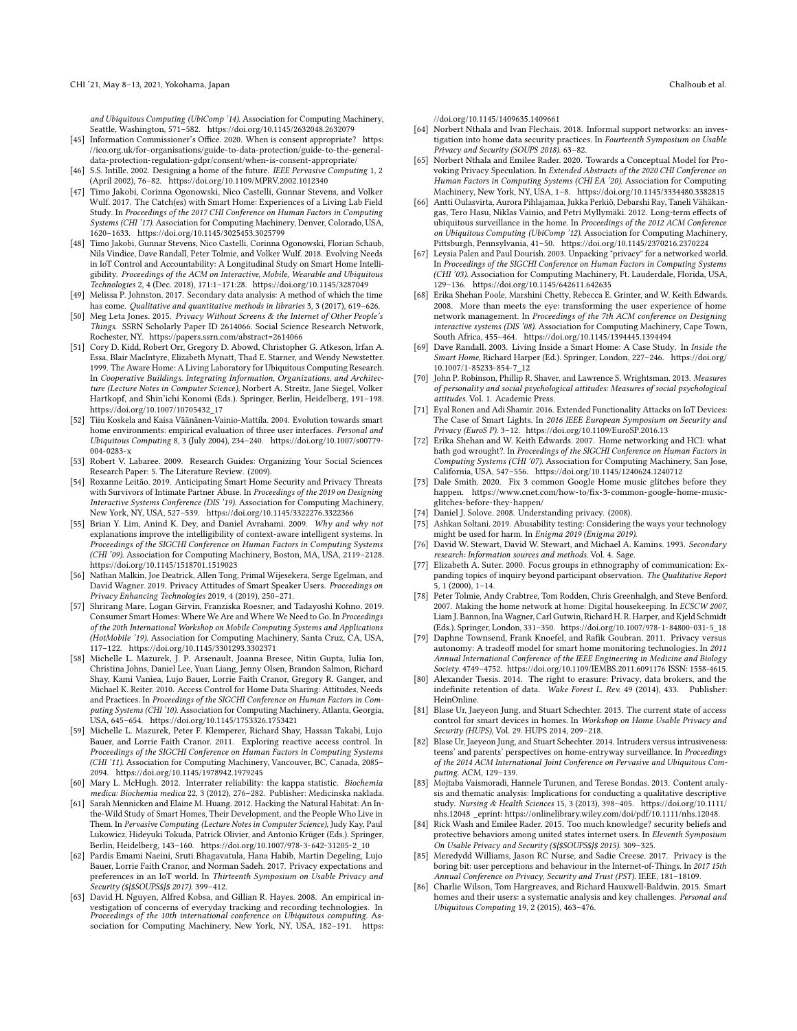and Ubiquitous Computing (UbiComp '14). Association for Computing Machinery, Seattle, Washington, 571–582. <https://doi.org/10.1145/2632048.2632079>

- <span id="page-13-35"></span>[45] Information Commissioner's Office. 2020. When is consent appropriate? [https:](https://ico.org.uk/for-organisations/guide-to-data-protection/guide-to-the-general-data-protection-regulation-gdpr/consent/when-is-consent-appropriate/) [//ico.org.uk/for-organisations/guide-to-data-protection/guide-to-the-general](https://ico.org.uk/for-organisations/guide-to-data-protection/guide-to-the-general-data-protection-regulation-gdpr/consent/when-is-consent-appropriate/)[data-protection-regulation-gdpr/consent/when-is-consent-appropriate/](https://ico.org.uk/for-organisations/guide-to-data-protection/guide-to-the-general-data-protection-regulation-gdpr/consent/when-is-consent-appropriate/)
- <span id="page-13-1"></span>[46] S.S. Intille. 2002. Designing a home of the future. IEEE Pervasive Computing 1, 2 (April 2002), 76–82. <https://doi.org/10.1109/MPRV.2002.1012340>
- <span id="page-13-0"></span>[47] Timo Jakobi, Corinna Ogonowski, Nico Castelli, Gunnar Stevens, and Volker Wulf. 2017. The Catch(es) with Smart Home: Experiences of a Living Lab Field Study. In Proceedings of the 2017 CHI Conference on Human Factors in Computing Systems (CHI '17). Association for Computing Machinery, Denver, Colorado, USA, 1620–1633. <https://doi.org/10.1145/3025453.3025799>
- <span id="page-13-5"></span>[48] Timo Jakobi, Gunnar Stevens, Nico Castelli, Corinna Ogonowski, Florian Schaub, Nils Vindice, Dave Randall, Peter Tolmie, and Volker Wulf. 2018. Evolving Needs in IoT Control and Accountability: A Longitudinal Study on Smart Home Intelligibility. Proceedings of the ACM on Interactive, Mobile, Wearable and Ubiquitous Technologies 2, 4 (Dec. 2018), 171:1–171:28. <https://doi.org/10.1145/3287049>
- <span id="page-13-27"></span>[49] Melissa P. Johnston. 2017. Secondary data analysis: A method of which the time has come. Qualitative and quantitative methods in libraries 3, 3 (2017), 619–626.
- <span id="page-13-17"></span>[50] Meg Leta Jones. 2015. Privacy Without Screens & the Internet of Other People's Things. SSRN Scholarly Paper ID 2614066. Social Science Research Network, Rochester, NY. <https://papers.ssrn.com/abstract=2614066>
- <span id="page-13-2"></span>[51] Cory D. Kidd, Robert Orr, Gregory D. Abowd, Christopher G. Atkeson, Irfan A. Essa, Blair MacIntyre, Elizabeth Mynatt, Thad E. Starner, and Wendy Newstetter. 1999. The Aware Home: A Living Laboratory for Ubiquitous Computing Research. In Cooperative Buildings. Integrating Information, Organizations, and Architecture (Lecture Notes in Computer Science), Norbert A. Streitz, Jane Siegel, Volker Hartkopf, and Shin'ichi Konomi (Eds.). Springer, Berlin, Heidelberg, 191–198. [https://doi.org/10.1007/10705432\\_17](https://doi.org/10.1007/10705432_17)
- <span id="page-13-10"></span>[52] Tiiu Koskela and Kaisa Väänänen-Vainio-Mattila. 2004. Evolution towards smart home environments: empirical evaluation of three user interfaces. Personal and Ubiquitous Computing 8, 3 (July 2004), 234–240. [https://doi.org/10.1007/s00779-](https://doi.org/10.1007/s00779-004-0283-x) [004-0283-x](https://doi.org/10.1007/s00779-004-0283-x)
- <span id="page-13-32"></span>[53] Robert V. Labaree. 2009. Research Guides: Organizing Your Social Sciences Research Paper: 5. The Literature Review. (2009).
- <span id="page-13-39"></span>[54] Roxanne Leitão. 2019. Anticipating Smart Home Security and Privacy Threats with Survivors of Intimate Partner Abuse. In Proceedings of the 2019 on Designing Interactive Systems Conference (DIS '19). Association for Computing Machinery, New York, NY, USA, 527–539. <https://doi.org/10.1145/3322276.3322366>
- <span id="page-13-3"></span>[55] Brian Y. Lim, Anind K. Dey, and Daniel Avrahami. 2009. Why and why not explanations improve the intelligibility of context-aware intelligent systems. In Proceedings of the SIGCHI Conference on Human Factors in Computing Systems (CHI '09). Association for Computing Machinery, Boston, MA, USA, 2119–2128. <https://doi.org/10.1145/1518701.1519023>
- <span id="page-13-21"></span>[56] Nathan Malkin, Joe Deatrick, Allen Tong, Primal Wijesekera, Serge Egelman, and David Wagner. 2019. Privacy Attitudes of Smart Speaker Users. Proceedings on Privacy Enhancing Technologies 2019, 4 (2019), 250–271.
- <span id="page-13-26"></span>[57] Shrirang Mare, Logan Girvin, Franziska Roesner, and Tadayoshi Kohno. 2019. Consumer Smart Homes: Where We Are and Where We Need to Go. In Proceedings of the 20th International Workshop on Mobile Computing Systems and Applications (HotMobile '19). Association for Computing Machinery, Santa Cruz, CA, USA, 117–122. <https://doi.org/10.1145/3301293.3302371>
- <span id="page-13-11"></span>[58] Michelle L. Mazurek, J. P. Arsenault, Joanna Bresee, Nitin Gupta, Iulia Ion, Christina Johns, Daniel Lee, Yuan Liang, Jenny Olsen, Brandon Salmon, Richard Shay, Kami Vaniea, Lujo Bauer, Lorrie Faith Cranor, Gregory R. Ganger, and Michael K. Reiter. 2010. Access Control for Home Data Sharing: Attitudes, Needs and Practices. In Proceedings of the SIGCHI Conference on Human Factors in Computing Systems (CHI '10). Association for Computing Machinery, Atlanta, Georgia, USA, 645–654. <https://doi.org/10.1145/1753326.1753421>
- <span id="page-13-24"></span>[59] Michelle L. Mazurek, Peter F. Klemperer, Richard Shay, Hassan Takabi, Lujo Bauer, and Lorrie Faith Cranor. 2011. Exploring reactive access control. In Proceedings of the SIGCHI Conference on Human Factors in Computing Systems (CHI '11). Association for Computing Machinery, Vancouver, BC, Canada, 2085– 2094. <https://doi.org/10.1145/1978942.1979245>
- <span id="page-13-30"></span>[60] Mary L. McHugh. 2012. Interrater reliability: the kappa statistic. Biochemia medica: Biochemia medica 22, 3 (2012), 276–282. Publisher: Medicinska naklada.
- <span id="page-13-6"></span>[61] Sarah Mennicken and Elaine M. Huang. 2012. Hacking the Natural Habitat: An Inthe-Wild Study of Smart Homes, Their Development, and the People Who Live in Them. In Pervasive Computing (Lecture Notes in Computer Science), Judy Kay, Paul Lukowicz, Hideyuki Tokuda, Patrick Olivier, and Antonio Krüger (Eds.). Springer, Berlin, Heidelberg, 143–160. [https://doi.org/10.1007/978-3-642-31205-2\\_10](https://doi.org/10.1007/978-3-642-31205-2_10)
- <span id="page-13-4"></span>[62] Pardis Emami Naeini, Sruti Bhagavatula, Hana Habib, Martin Degeling, Lujo Bauer, Lorrie Faith Cranor, and Norman Sadeh. 2017. Privacy expectations and preferences in an IoT world. In Thirteenth Symposium on Usable Privacy and Security (\${\$SOUPS\$}\$ 2017). 399–412.
- <span id="page-13-33"></span>[63] David H. Nguyen, Alfred Kobsa, and Gillian R. Hayes. 2008. An empirical investigation of concerns of everyday tracking and recording technologies. In Proceedings of the 10th international conference on Ubiquitous computing. Association for Computing Machinery, New York, NY, USA, 182–191. [https:](https://doi.org/10.1145/1409635.1409661)

[//doi.org/10.1145/1409635.1409661](https://doi.org/10.1145/1409635.1409661)

- <span id="page-13-16"></span>[64] Norbert Nthala and Ivan Flechais. 2018. Informal support networks: an investigation into home data security practices. In Fourteenth Symposium on Usable Privacy and Security (SOUPS 2018). 63–82.
- <span id="page-13-34"></span>[65] Norbert Nthala and Emilee Rader. 2020. Towards a Conceptual Model for Provoking Privacy Speculation. In Extended Abstracts of the 2020 CHI Conference on Human Factors in Computing Systems (CHI EA '20). Association for Computing Machinery, New York, NY, USA, 1–8. <https://doi.org/10.1145/3334480.3382815>
- <span id="page-13-20"></span>[66] Antti Oulasvirta, Aurora Pihlajamaa, Jukka Perkiö, Debarshi Ray, Taneli Vähäkangas, Tero Hasu, Niklas Vainio, and Petri Myllymäki. 2012. Long-term efects of ubiquitous surveillance in the home. In Proceedings of the 2012 ACM Conference on Ubiquitous Computing (UbiComp '12). Association for Computing Machinery, Pittsburgh, Pennsylvania, 41–50. <https://doi.org/10.1145/2370216.2370224>
- <span id="page-13-14"></span>[67] Leysia Palen and Paul Dourish. 2003. Unpacking "privacy" for a networked world. In Proceedings of the SIGCHI Conference on Human Factors in Computing Systems (CHI '03). Association for Computing Machinery, Ft. Lauderdale, Florida, USA, 129–136. <https://doi.org/10.1145/642611.642635>
- <span id="page-13-7"></span>[68] Erika Shehan Poole, Marshini Chetty, Rebecca E. Grinter, and W. Keith Edwards. 2008. More than meets the eye: transforming the user experience of home network management. In Proceedings of the 7th ACM conference on Designing interactive systems (DIS '08). Association for Computing Machinery, Cape Town, South Africa, 455–464. <https://doi.org/10.1145/1394445.1394494>
- <span id="page-13-12"></span>[69] Dave Randall. 2003. Living Inside a Smart Home: A Case Study. In Inside the Smart Home, Richard Harper (Ed.). Springer, London, 227–246. [https://doi.org/](https://doi.org/10.1007/1-85233-854-7_12) [10.1007/1-85233-854-7\\_12](https://doi.org/10.1007/1-85233-854-7_12)
- <span id="page-13-23"></span>[70] John P. Robinson, Phillip R. Shaver, and Lawrence S. Wrightsman. 2013. Measures of personality and social psychological attitudes: Measures of social psychological attitudes. Vol. 1. Academic Press.
- <span id="page-13-38"></span>[71] Eyal Ronen and Adi Shamir. 2016. Extended Functionality Attacks on IoT Devices: The Case of Smart Lights. In 2016 IEEE European Symposium on Security and Privacy (EuroS P). 3–12. <https://doi.org/10.1109/EuroSP.2016.13>
- <span id="page-13-8"></span>[72] Erika Shehan and W. Keith Edwards. 2007. Home networking and HCI: what hath god wrought?. In Proceedings of the SIGCHI Conference on Human Factors in Computing Systems (CHI '07). Association for Computing Machinery, San Jose, California, USA, 547–556. <https://doi.org/10.1145/1240624.1240712>
- <span id="page-13-36"></span>[73] Dale Smith. 2020. Fix 3 common Google Home music glitches before they happen. [https://www.cnet.com/how-to/fx-3-common-google-home-music](https://www.cnet.com/how-to/fix-3-common-google-home-music-glitches-before-they-happen/)[glitches-before-they-happen/](https://www.cnet.com/how-to/fix-3-common-google-home-music-glitches-before-they-happen/)
- <span id="page-13-13"></span>[74] Daniel J. Solove. 2008. Understanding privacy. (2008).
- <span id="page-13-40"></span>[75] Ashkan Soltani. 2019. Abusability testing: Considering the ways your technology might be used for harm. In Enigma 2019 (Enigma 2019).
- <span id="page-13-28"></span>[76] David W. Stewart, David W. Stewart, and Michael A. Kamins. 1993. Secondary research: Information sources and methods. Vol. 4. Sage.
- <span id="page-13-31"></span>[77] Elizabeth A. Suter. 2000. Focus groups in ethnography of communication: Expanding topics of inquiry beyond participant observation. The Qualitative Report 5, 1 (2000), 1–14.
- <span id="page-13-9"></span>[78] Peter Tolmie, Andy Crabtree, Tom Rodden, Chris Greenhalgh, and Steve Benford. 2007. Making the home network at home: Digital housekeeping. In ECSCW 2007, Liam J. Bannon, Ina Wagner, Carl Gutwin, Richard H. R. Harper, and Kjeld Schmidt (Eds.). Springer, London, 331–350. [https://doi.org/10.1007/978-1-84800-031-5\\_18](https://doi.org/10.1007/978-1-84800-031-5_18)
- <span id="page-13-19"></span>[79] Daphne Townsend, Frank Knoefel, and Rafk Goubran. 2011. Privacy versus autonomy: A tradeoff model for smart home monitoring technologies. In 2011 Annual International Conference of the IEEE Engineering in Medicine and Biology Society. 4749–4752. <https://doi.org/10.1109/IEMBS.2011.6091176> ISSN: 1558-4615.
- <span id="page-13-37"></span>[80] Alexander Tsesis. 2014. The right to erasure: Privacy, data brokers, and the indefnite retention of data. Wake Forest L. Rev. 49 (2014), 433. Publisher: HeinOnline.
- <span id="page-13-25"></span>[81] Blase Ur, Jaeyeon Jung, and Stuart Schechter. 2013. The current state of access control for smart devices in homes. In Workshop on Home Usable Privacy and Security (HUPS), Vol. 29. HUPS 2014, 209–218.
- <span id="page-13-18"></span>[82] Blase Ur, Jaeyeon Jung, and Stuart Schechter. 2014. Intruders versus intrusiveness: teens' and parents' perspectives on home-entryway surveillance. In Proceedings of the 2014 ACM International Joint Conference on Pervasive and Ubiquitous Computing. ACM, 129–139.
- <span id="page-13-29"></span>[83] Mojtaba Vaismoradi, Hannele Turunen, and Terese Bondas. 2013. Content analysis and thematic analysis: Implications for conducting a qualitative descriptive study. Nursing & Health Sciences 15, 3 (2013), 398–405. [https://doi.org/10.1111/](https://doi.org/10.1111/nhs.12048) [nhs.12048](https://doi.org/10.1111/nhs.12048) \_eprint: https://onlinelibrary.wiley.com/doi/pdf/10.1111/nhs.12048.
- <span id="page-13-22"></span>[84] Rick Wash and Emilee Rader. 2015. Too much knowledge? security beliefs and protective behaviors among united states internet users. In Eleventh Symposium On Usable Privacy and Security (\${\$SOUPS\$}\$ 2015). 309–325.
- <span id="page-13-15"></span>[85] Meredydd Williams, Jason RC Nurse, and Sadie Creese. 2017. Privacy is the boring bit: user perceptions and behaviour in the Internet-of-Things. In 2017 15th Annual Conference on Privacy, Security and Trust (PST). IEEE, 181–18109.
- [86] Charlie Wilson, Tom Hargreaves, and Richard Hauxwell-Baldwin. 2015. Smart homes and their users: a systematic analysis and key challenges. Personal and Ubiquitous Computing 19, 2 (2015), 463–476.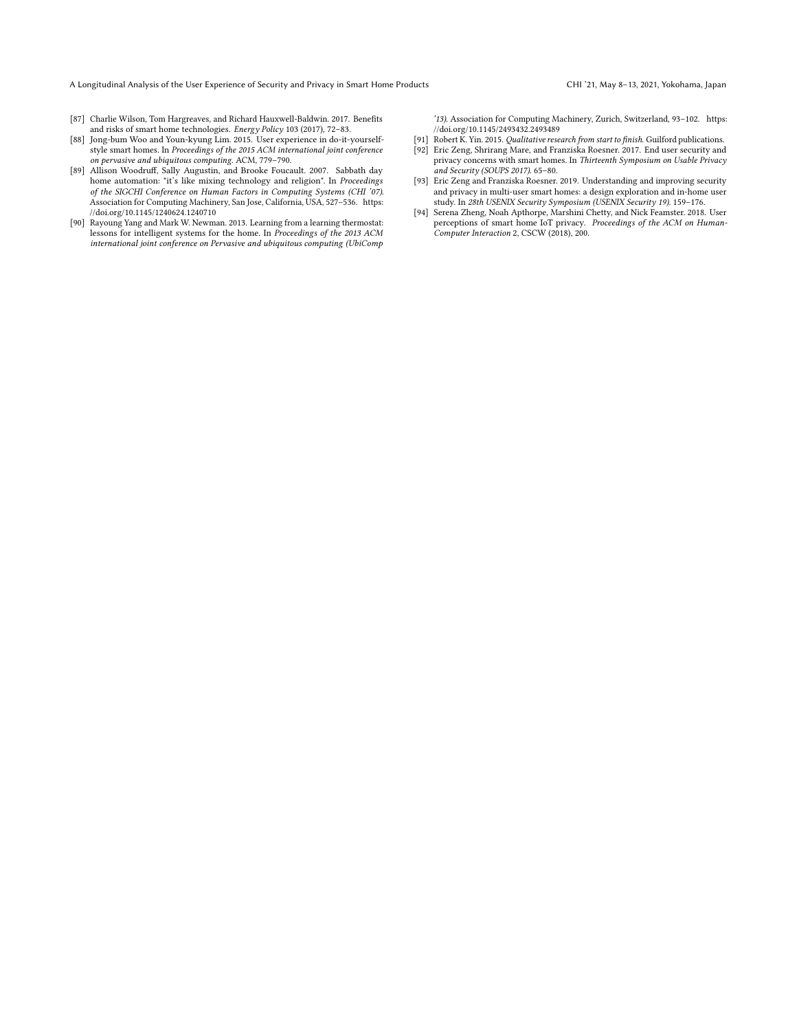<span id="page-14-5"></span>[87] Charlie Wilson, Tom Hargreaves, and Richard Hauxwell-Baldwin. 2017. Benefts and risks of smart home technologies. Energy Policy 103 (2017), 72–83.

'13). Association for Computing Machinery, Zurich, Switzerland, 93–102. [https:](https://doi.org/10.1145/2493432.2493489) [//doi.org/10.1145/2493432.2493489](https://doi.org/10.1145/2493432.2493489)

- <span id="page-14-2"></span>[88] Jong-bum Woo and Youn-kyung Lim. 2015. User experience in do-it-yourselfstyle smart homes. In Proceedings of the 2015 ACM international joint conference on pervasive and ubiquitous computing. ACM, 779–790.
- <span id="page-14-3"></span>[89] Allison Woodruf, Sally Augustin, and Brooke Foucault. 2007. Sabbath day home automation: "it's like mixing technology and religion". In Proceedings of the SIGCHI Conference on Human Factors in Computing Systems (CHI '07). Association for Computing Machinery, San Jose, California, USA, 527–536. [https:](https://doi.org/10.1145/1240624.1240710) [//doi.org/10.1145/1240624.1240710](https://doi.org/10.1145/1240624.1240710)
- <span id="page-14-4"></span>[90] Rayoung Yang and Mark W. Newman. 2013. Learning from a learning thermostat: lessons for intelligent systems for the home. In Proceedings of the 2013 ACM international joint conference on Pervasive and ubiquitous computing (UbiComp
- <span id="page-14-7"></span><span id="page-14-1"></span>[91] Robert K. Yin. 2015. *Qualitative research from start to finish*. Guilford publications. [92] Eric Zeng, Shrirang Mare, and Franziska Roesner. 2017. End user security and privacy concerns with smart homes. In Thirteenth Symposium on Usable Privacy and Security (SOUPS 2017). 65–80.
- <span id="page-14-0"></span>[93] Eric Zeng and Franziska Roesner. 2019. Understanding and improving security and privacy in multi-user smart homes: a design exploration and in-home user study. In 28th USENIX Security Symposium (USENIX Security 19). 159–176.
- <span id="page-14-6"></span>[94] Serena Zheng, Noah Apthorpe, Marshini Chetty, and Nick Feamster. 2018. User perceptions of smart home IoT privacy. Proceedings of the ACM on Human-Computer Interaction 2, CSCW (2018), 200.